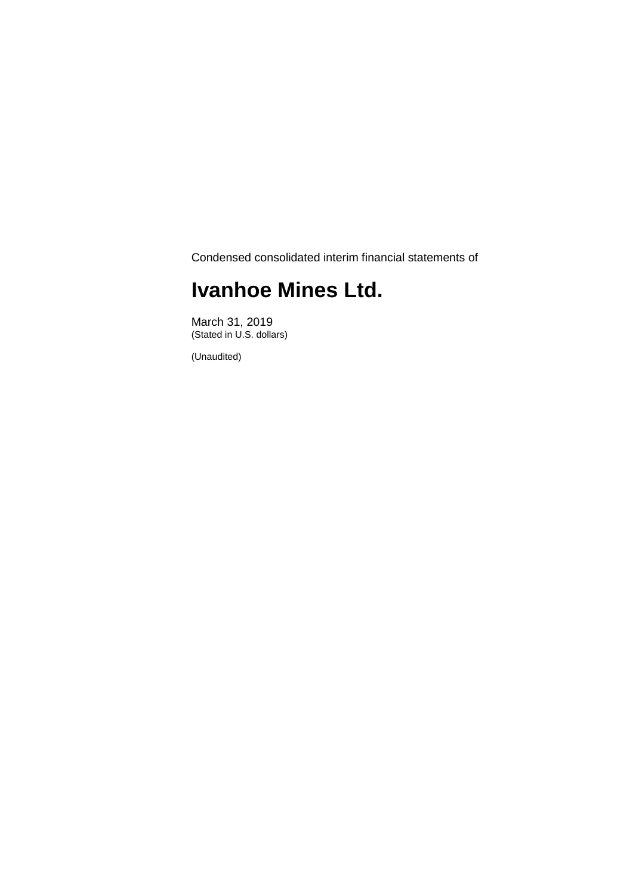Condensed consolidated interim financial statements of

## **Ivanhoe Mines Ltd.**

March 31, 2019 (Stated in U.S. dollars)

(Unaudited)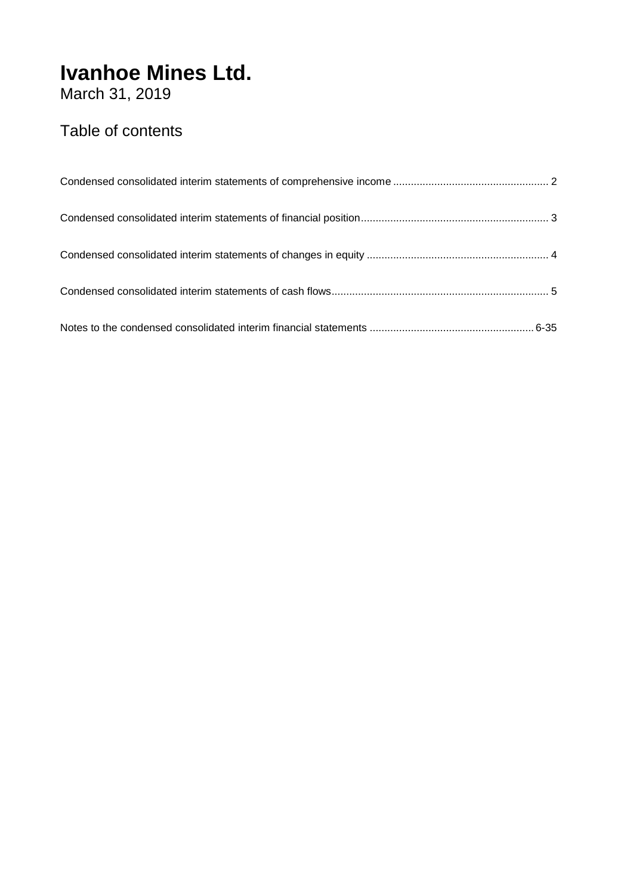March 31, 2019

### Table of contents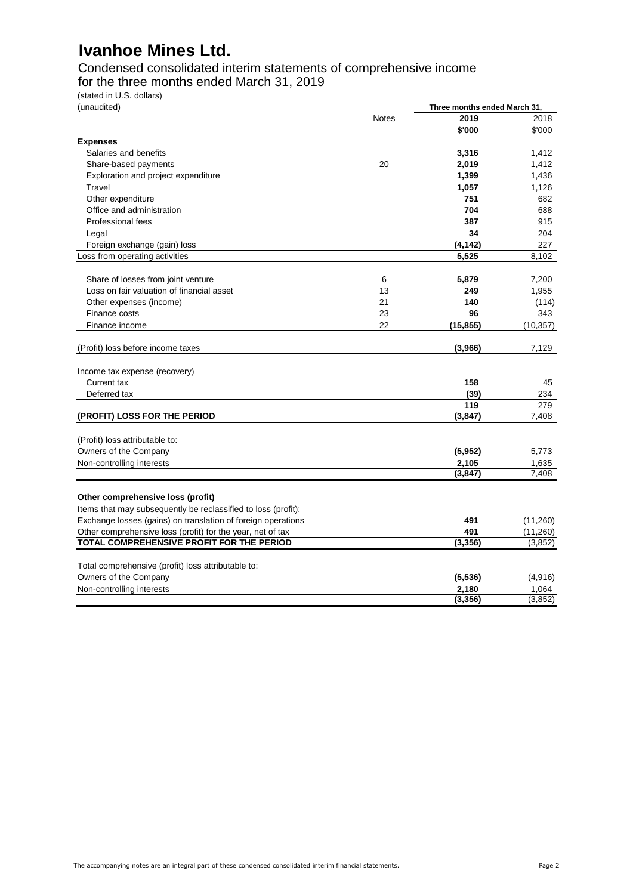Condensed consolidated interim statements of comprehensive income for the three months ended March 31, 2019

(stated in U.S. dollars)

| (unaudited)                                                   |              | Three months ended March 31, |           |  |
|---------------------------------------------------------------|--------------|------------------------------|-----------|--|
|                                                               | <b>Notes</b> | 2019                         | 2018      |  |
|                                                               |              | \$'000                       | \$'000    |  |
| <b>Expenses</b>                                               |              |                              |           |  |
| Salaries and benefits                                         |              | 3,316                        | 1,412     |  |
| Share-based payments                                          | 20           | 2,019                        | 1,412     |  |
| Exploration and project expenditure                           |              | 1,399                        | 1,436     |  |
| Travel                                                        |              | 1,057                        | 1,126     |  |
| Other expenditure                                             |              | 751                          | 682       |  |
| Office and administration                                     |              | 704                          | 688       |  |
| Professional fees                                             |              | 387                          | 915       |  |
| Legal                                                         |              | 34                           | 204       |  |
| Foreign exchange (gain) loss                                  |              | (4, 142)                     | 227       |  |
| Loss from operating activities                                |              | 5,525                        | 8,102     |  |
| Share of losses from joint venture                            | 6            | 5,879                        | 7,200     |  |
| Loss on fair valuation of financial asset                     | 13           | 249                          | 1,955     |  |
| Other expenses (income)                                       | 21           | 140                          | (114)     |  |
| Finance costs                                                 | 23           | 96                           | 343       |  |
| Finance income                                                | 22           | (15, 855)                    | (10, 357) |  |
|                                                               |              |                              |           |  |
| (Profit) loss before income taxes                             |              | (3,966)                      | 7,129     |  |
| Income tax expense (recovery)                                 |              |                              |           |  |
| Current tax                                                   |              | 158                          | 45        |  |
| Deferred tax                                                  |              | (39)                         | 234       |  |
|                                                               |              | 119                          | 279       |  |
| (PROFIT) LOSS FOR THE PERIOD                                  |              | (3,847)                      | 7,408     |  |
|                                                               |              |                              |           |  |
| (Profit) loss attributable to:                                |              |                              |           |  |
| Owners of the Company                                         |              | (5, 952)                     | 5,773     |  |
| Non-controlling interests                                     |              | 2,105                        | 1,635     |  |
|                                                               |              | (3, 847)                     | 7,408     |  |
| Other comprehensive loss (profit)                             |              |                              |           |  |
| Items that may subsequently be reclassified to loss (profit): |              |                              |           |  |
| Exchange losses (gains) on translation of foreign operations  |              | 491                          | (11,260)  |  |
| Other comprehensive loss (profit) for the year, net of tax    |              | 491                          | (11,260)  |  |
| TOTAL COMPREHENSIVE PROFIT FOR THE PERIOD                     |              | (3, 356)                     | (3, 852)  |  |
|                                                               |              |                              |           |  |
| Total comprehensive (profit) loss attributable to:            |              |                              |           |  |
| Owners of the Company                                         |              | (5, 536)                     | (4,916)   |  |
| Non-controlling interests                                     |              | 2,180                        | 1,064     |  |
|                                                               |              | (3, 356)                     | (3,852)   |  |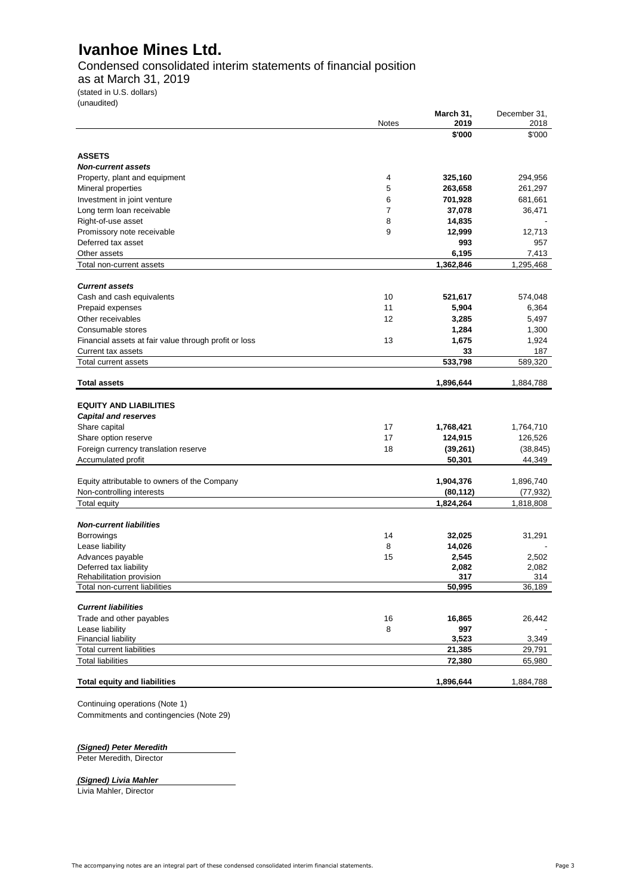Condensed consolidated interim statements of financial position

as at March 31, 2019

(stated in U.S. dollars) (unaudited)

|                                                              | <b>Notes</b> | March 31,<br>2019 | December 31,<br>2018 |
|--------------------------------------------------------------|--------------|-------------------|----------------------|
|                                                              |              | \$'000            | \$'000               |
| <b>ASSETS</b>                                                |              |                   |                      |
| <b>Non-current assets</b>                                    |              |                   |                      |
| Property, plant and equipment                                | 4            | 325,160           | 294,956              |
| Mineral properties                                           | 5            | 263,658           | 261,297              |
| Investment in joint venture                                  | 6            | 701,928           | 681,661              |
| Long term loan receivable                                    | 7            | 37,078            | 36,471               |
| Right-of-use asset                                           | 8            | 14,835            |                      |
| Promissory note receivable                                   | 9            | 12,999            | 12,713               |
| Deferred tax asset                                           |              | 993               | 957                  |
| Other assets                                                 |              | 6,195             | 7,413                |
| Total non-current assets                                     |              | 1,362,846         | 1,295,468            |
|                                                              |              |                   |                      |
| <b>Current assets</b>                                        |              |                   |                      |
| Cash and cash equivalents                                    | 10           | 521,617           | 574,048              |
| Prepaid expenses                                             | 11           | 5,904             | 6,364                |
| Other receivables                                            | 12           | 3,285             | 5,497                |
| Consumable stores                                            |              | 1,284             | 1,300                |
| Financial assets at fair value through profit or loss        | 13           | 1,675             | 1,924                |
| Current tax assets                                           |              | 33                | 187                  |
| Total current assets                                         |              | 533,798           | 589,320              |
| <b>Total assets</b>                                          |              | 1,896,644         | 1,884,788            |
| <b>EQUITY AND LIABILITIES</b><br><b>Capital and reserves</b> |              |                   |                      |
| Share capital                                                | 17           | 1,768,421         | 1,764,710            |
| Share option reserve                                         | 17           | 124,915           | 126,526              |
| Foreign currency translation reserve                         | 18           | (39, 261)         | (38, 845)            |
| Accumulated profit                                           |              | 50,301            | 44,349               |
|                                                              |              |                   |                      |
| Equity attributable to owners of the Company                 |              | 1,904,376         | 1,896,740            |
| Non-controlling interests                                    |              | (80, 112)         | (77, 932)            |
| <b>Total equity</b>                                          |              | 1,824,264         | 1,818,808            |
|                                                              |              |                   |                      |
| <b>Non-current liabilities</b>                               |              |                   |                      |
| Borrowings                                                   | 14           | 32,025            | 31,291               |
| Lease liability                                              | 8            | 14,026            |                      |
| Advances payable                                             | 15           | 2,545             | 2,502                |
| Deferred tax liability<br>Rehabilitation provision           |              | 2,082<br>317      | 2,082<br>314         |
| Total non-current liabilities                                |              | 50,995            | 36,189               |
|                                                              |              |                   |                      |
| <b>Current liabilities</b>                                   |              |                   |                      |
| Trade and other payables                                     | 16           | 16,865            | 26,442               |
| Lease liability                                              | 8            | 997               |                      |
| <b>Financial liability</b>                                   |              | 3,523             | 3,349                |
| <b>Total current liabilities</b>                             |              | 21,385            | 29,791               |
| <b>Total liabilities</b>                                     |              | 72,380            | 65,980               |
| <b>Total equity and liabilities</b>                          |              | 1,896,644         | 1,884,788            |

Continuing operations (Note 1) Commitments and contingencies (Note 29)

*(Signed) Peter Meredith*

Peter Meredith, Director

#### *(Signed) Livia Mahler*

Livia Mahler, Director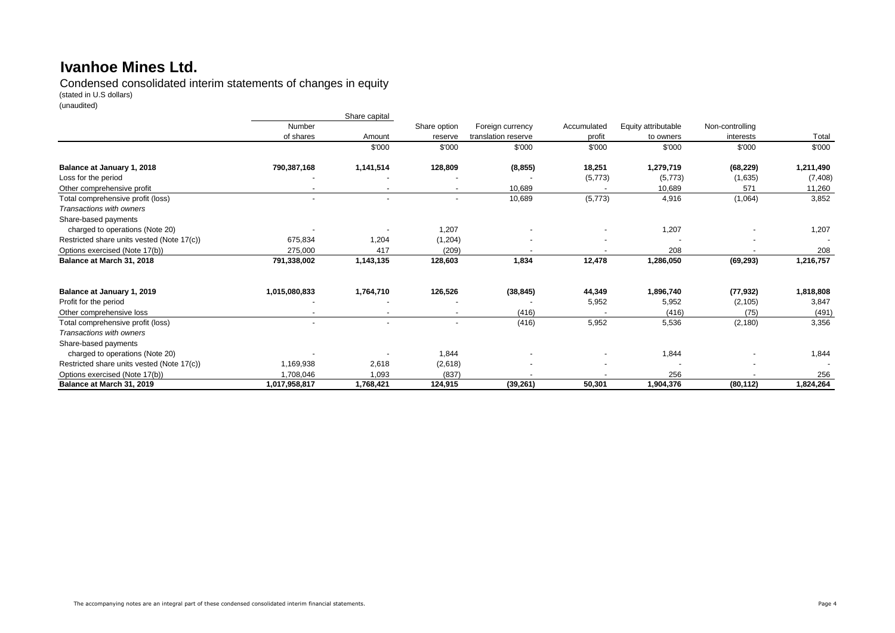Condensed consolidated interim statements of changes in equity

(stated in U.S dollars)

(unaudited)

|                                            |                          | Share capital            |                          |                     |             |                     |                 |           |
|--------------------------------------------|--------------------------|--------------------------|--------------------------|---------------------|-------------|---------------------|-----------------|-----------|
|                                            | Number                   |                          | Share option             | Foreign currency    | Accumulated | Equity attributable | Non-controlling |           |
|                                            | of shares                | Amount                   | reserve                  | translation reserve | profit      | to owners           | interests       | Total     |
|                                            |                          | \$'000                   | \$'000                   | \$'000              | \$'000      | \$'000              | \$'000          | \$'000    |
| Balance at January 1, 2018                 | 790,387,168              | 1,141,514                | 128,809                  | (8, 855)            | 18,251      | 1,279,719           | (68, 229)       | 1,211,490 |
| Loss for the period                        |                          |                          |                          |                     | (5,773)     | (5,773)             | (1,635)         | (7, 408)  |
| Other comprehensive profit                 |                          |                          | $\overline{\phantom{a}}$ | 10,689              |             | 10,689              | 571             | 11,260    |
| Total comprehensive profit (loss)          | $\blacksquare$           | $\sim$                   | $\overline{\phantom{a}}$ | 10,689              | (5,773)     | 4,916               | (1,064)         | 3,852     |
| Transactions with owners                   |                          |                          |                          |                     |             |                     |                 |           |
| Share-based payments                       |                          |                          |                          |                     |             |                     |                 |           |
| charged to operations (Note 20)            |                          |                          | 1,207                    |                     |             | 1,207               |                 | 1,207     |
| Restricted share units vested (Note 17(c)) | 675,834                  | 1,204                    | (1,204)                  |                     |             |                     |                 |           |
| Options exercised (Note 17(b))             | 275,000                  | 417                      | (209)                    |                     |             | 208                 |                 | 208       |
| Balance at March 31, 2018                  | 791,338,002              | 1,143,135                | 128,603                  | 1,834               | 12,478      | 1,286,050           | (69, 293)       | 1,216,757 |
| Balance at January 1, 2019                 | 1,015,080,833            | 1,764,710                | 126,526                  | (38, 845)           | 44,349      | 1,896,740           | (77, 932)       | 1,818,808 |
| Profit for the period                      |                          |                          |                          |                     | 5,952       | 5,952               | (2, 105)        | 3,847     |
| Other comprehensive loss                   | $\overline{\phantom{a}}$ | $\overline{\phantom{a}}$ | $\overline{\phantom{a}}$ | (416)               |             | (416)               | (75)            | (491)     |
| Total comprehensive profit (loss)          | $\blacksquare$           |                          | $\blacksquare$           | (416)               | 5,952       | 5,536               | (2, 180)        | 3,356     |
| Transactions with owners                   |                          |                          |                          |                     |             |                     |                 |           |
| Share-based payments                       |                          |                          |                          |                     |             |                     |                 |           |
| charged to operations (Note 20)            |                          |                          | 1,844                    |                     |             | 1,844               |                 | 1,844     |
| Restricted share units vested (Note 17(c)) | 1,169,938                | 2,618                    | (2,618)                  |                     |             |                     |                 |           |
| Options exercised (Note 17(b))             | 1,708,046                | 1,093                    | (837)                    |                     |             | 256                 |                 | 256       |
| Balance at March 31, 2019                  | 1,017,958,817            | 1,768,421                | 124,915                  | (39, 261)           | 50,301      | 1,904,376           | (80, 112)       | 1,824,264 |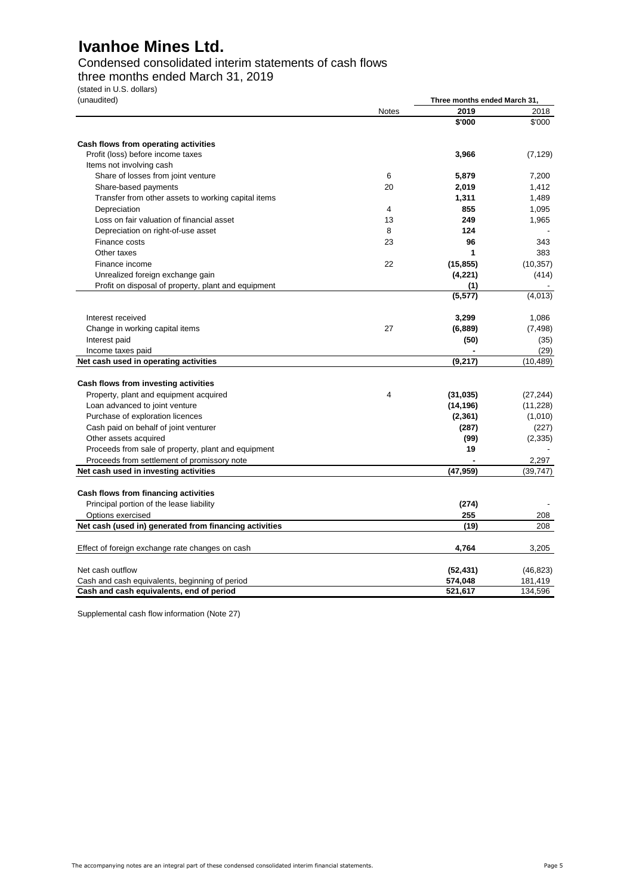### Condensed consolidated interim statements of cash flows

three months ended March 31, 2019

(stated in U.S. dollars)

| (unaudited) |  |
|-------------|--|
|             |  |

| (unaudited)                                            |              | Three months ended March 31, |           |  |
|--------------------------------------------------------|--------------|------------------------------|-----------|--|
|                                                        | <b>Notes</b> | 2019                         | 2018      |  |
|                                                        |              | \$'000                       | \$'000    |  |
| Cash flows from operating activities                   |              |                              |           |  |
| Profit (loss) before income taxes                      |              | 3,966                        | (7, 129)  |  |
| Items not involving cash                               |              |                              |           |  |
| Share of losses from joint venture                     | 6            | 5,879                        | 7,200     |  |
| Share-based payments                                   | 20           | 2,019                        | 1,412     |  |
| Transfer from other assets to working capital items    |              | 1,311                        | 1,489     |  |
| Depreciation                                           | 4            | 855                          | 1,095     |  |
| Loss on fair valuation of financial asset              | 13           | 249                          | 1,965     |  |
| Depreciation on right-of-use asset                     | 8            | 124                          |           |  |
| Finance costs                                          | 23           | 96                           | 343       |  |
| Other taxes                                            |              | 1                            | 383       |  |
| Finance income                                         | 22           | (15, 855)                    | (10, 357) |  |
| Unrealized foreign exchange gain                       |              | (4, 221)                     | (414)     |  |
| Profit on disposal of property, plant and equipment    |              | (1)                          |           |  |
|                                                        |              | (5, 577)                     | (4,013)   |  |
| Interest received                                      |              | 3,299                        | 1,086     |  |
| Change in working capital items                        | 27           | (6,889)                      | (7, 498)  |  |
| Interest paid                                          |              | (50)                         | (35)      |  |
| Income taxes paid                                      |              |                              | (29)      |  |
| Net cash used in operating activities                  |              | (9,217)                      | (10, 489) |  |
| Cash flows from investing activities                   |              |                              |           |  |
| Property, plant and equipment acquired                 | 4            | (31, 035)                    | (27, 244) |  |
| Loan advanced to joint venture                         |              | (14, 196)                    | (11, 228) |  |
| Purchase of exploration licences                       |              | (2, 361)                     | (1,010)   |  |
| Cash paid on behalf of joint venturer                  |              | (287)                        | (227)     |  |
| Other assets acquired                                  |              | (99)                         | (2, 335)  |  |
| Proceeds from sale of property, plant and equipment    |              | 19                           |           |  |
| Proceeds from settlement of promissory note            |              |                              | 2,297     |  |
| Net cash used in investing activities                  |              | (47, 959)                    | (39, 747) |  |
| Cash flows from financing activities                   |              |                              |           |  |
| Principal portion of the lease liability               |              | (274)                        |           |  |
| Options exercised                                      |              | 255                          | 208       |  |
| Net cash (used in) generated from financing activities |              | (19)                         | 208       |  |
| Effect of foreign exchange rate changes on cash        |              | 4,764                        | 3,205     |  |
|                                                        |              |                              |           |  |
| Net cash outflow                                       |              | (52, 431)                    | (46, 823) |  |
| Cash and cash equivalents, beginning of period         |              | 574,048                      | 181,419   |  |
| Cash and cash equivalents, end of period               |              | 521,617                      | 134,596   |  |

Supplemental cash flow information (Note 27)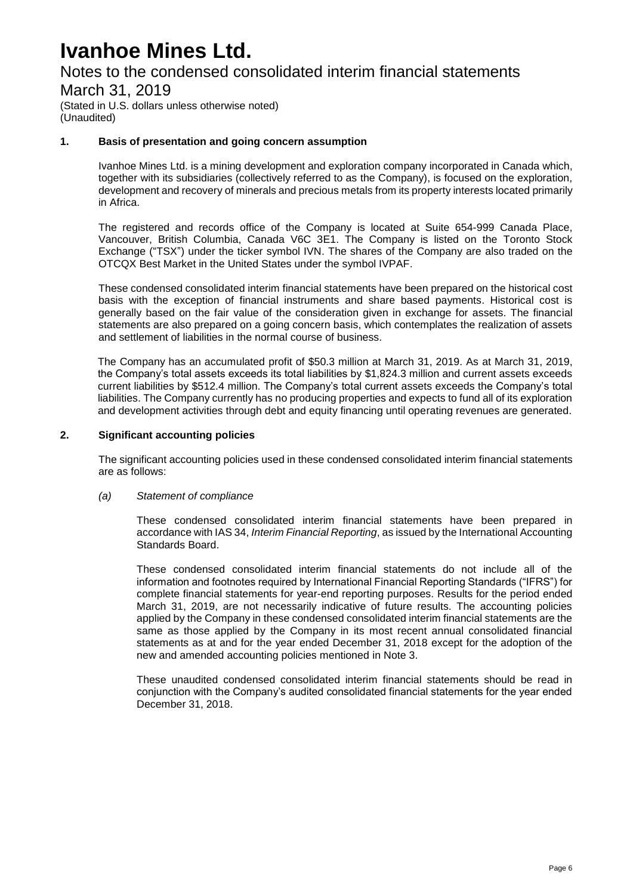## Notes to the condensed consolidated interim financial statements

### March 31, 2019

(Stated in U.S. dollars unless otherwise noted) (Unaudited)

#### **1. Basis of presentation and going concern assumption**

Ivanhoe Mines Ltd. is a mining development and exploration company incorporated in Canada which, together with its subsidiaries (collectively referred to as the Company), is focused on the exploration, development and recovery of minerals and precious metals from its property interests located primarily in Africa.

The registered and records office of the Company is located at Suite 654-999 Canada Place, Vancouver, British Columbia, Canada V6C 3E1. The Company is listed on the Toronto Stock Exchange ("TSX") under the ticker symbol IVN. The shares of the Company are also traded on the OTCQX Best Market in the United States under the symbol IVPAF.

These condensed consolidated interim financial statements have been prepared on the historical cost basis with the exception of financial instruments and share based payments. Historical cost is generally based on the fair value of the consideration given in exchange for assets. The financial statements are also prepared on a going concern basis, which contemplates the realization of assets and settlement of liabilities in the normal course of business.

The Company has an accumulated profit of \$50.3 million at March 31, 2019. As at March 31, 2019, the Company's total assets exceeds its total liabilities by \$1,824.3 million and current assets exceeds current liabilities by \$512.4 million. The Company's total current assets exceeds the Company's total liabilities. The Company currently has no producing properties and expects to fund all of its exploration and development activities through debt and equity financing until operating revenues are generated.

#### **2. Significant accounting policies**

The significant accounting policies used in these condensed consolidated interim financial statements are as follows:

#### *(a) Statement of compliance*

These condensed consolidated interim financial statements have been prepared in accordance with IAS 34, *Interim Financial Reporting*, as issued by the International Accounting Standards Board.

These condensed consolidated interim financial statements do not include all of the information and footnotes required by International Financial Reporting Standards ("IFRS") for complete financial statements for year-end reporting purposes. Results for the period ended March 31, 2019, are not necessarily indicative of future results. The accounting policies applied by the Company in these condensed consolidated interim financial statements are the same as those applied by the Company in its most recent annual consolidated financial statements as at and for the year ended December 31, 2018 except for the adoption of the new and amended accounting policies mentioned in Note 3.

These unaudited condensed consolidated interim financial statements should be read in conjunction with the Company's audited consolidated financial statements for the year ended December 31, 2018.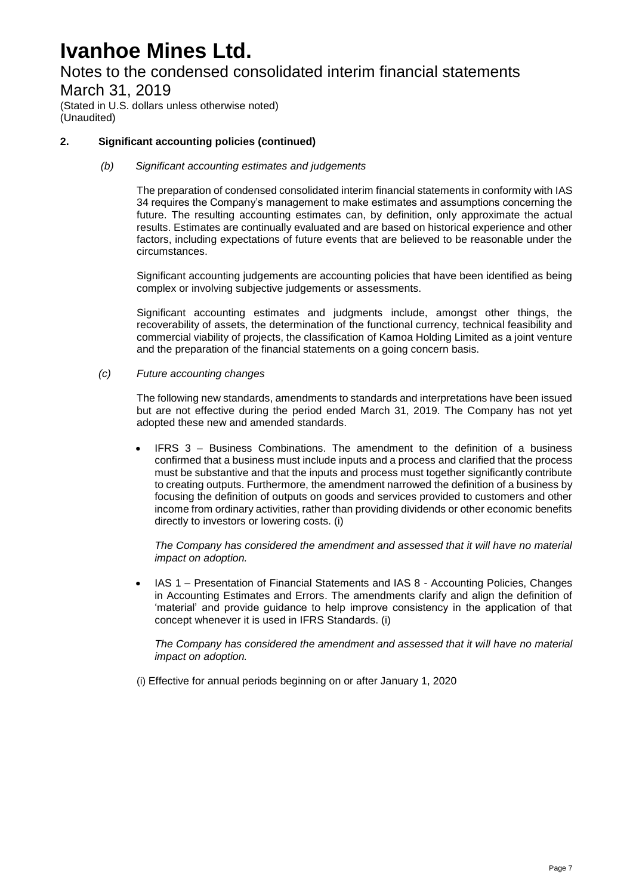# Notes to the condensed consolidated interim financial statements

March 31, 2019 (Stated in U.S. dollars unless otherwise noted)

(Unaudited)

#### **2. Significant accounting policies (continued)**

#### *(b) Significant accounting estimates and judgements*

The preparation of condensed consolidated interim financial statements in conformity with IAS 34 requires the Company's management to make estimates and assumptions concerning the future. The resulting accounting estimates can, by definition, only approximate the actual results. Estimates are continually evaluated and are based on historical experience and other factors, including expectations of future events that are believed to be reasonable under the circumstances.

Significant accounting judgements are accounting policies that have been identified as being complex or involving subjective judgements or assessments.

Significant accounting estimates and judgments include, amongst other things, the recoverability of assets, the determination of the functional currency, technical feasibility and commercial viability of projects, the classification of Kamoa Holding Limited as a joint venture and the preparation of the financial statements on a going concern basis.

#### *(c) Future accounting changes*

The following new standards, amendments to standards and interpretations have been issued but are not effective during the period ended March 31, 2019. The Company has not yet adopted these new and amended standards.

 IFRS 3 – Business Combinations. The amendment to the definition of a business confirmed that a business must include inputs and a process and clarified that the process must be substantive and that the inputs and process must together significantly contribute to creating outputs. Furthermore, the amendment narrowed the definition of a business by focusing the definition of outputs on goods and services provided to customers and other income from ordinary activities, rather than providing dividends or other economic benefits directly to investors or lowering costs. (i)

*The Company has considered the amendment and assessed that it will have no material impact on adoption.*

 IAS 1 – Presentation of Financial Statements and IAS 8 - Accounting Policies, Changes in Accounting Estimates and Errors. The amendments clarify and align the definition of 'material' and provide guidance to help improve consistency in the application of that concept whenever it is used in IFRS Standards. (i)

*The Company has considered the amendment and assessed that it will have no material impact on adoption.* 

(i) Effective for annual periods beginning on or after January 1, 2020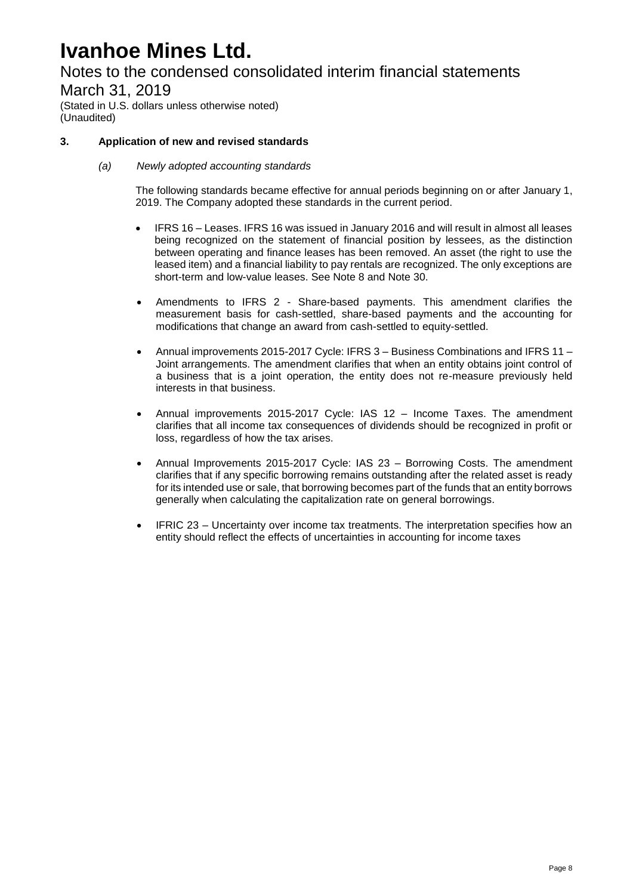Notes to the condensed consolidated interim financial statements

March 31, 2019

(Stated in U.S. dollars unless otherwise noted) (Unaudited)

#### **3. Application of new and revised standards**

*(a) Newly adopted accounting standards*

The following standards became effective for annual periods beginning on or after January 1, 2019. The Company adopted these standards in the current period.

- IFRS 16 Leases. IFRS 16 was issued in January 2016 and will result in almost all leases being recognized on the statement of financial position by lessees, as the distinction between operating and finance leases has been removed. An asset (the right to use the leased item) and a financial liability to pay rentals are recognized. The only exceptions are short-term and low-value leases. See Note 8 and Note 30.
- Amendments to IFRS 2 Share-based payments. This amendment clarifies the measurement basis for cash-settled, share-based payments and the accounting for modifications that change an award from cash-settled to equity-settled.
- Annual improvements 2015-2017 Cycle: IFRS 3 Business Combinations and IFRS 11 Joint arrangements. The amendment clarifies that when an entity obtains joint control of a business that is a joint operation, the entity does not re-measure previously held interests in that business.
- Annual improvements 2015-2017 Cycle: IAS 12 Income Taxes. The amendment clarifies that all income tax consequences of dividends should be recognized in profit or loss, regardless of how the tax arises.
- Annual Improvements 2015-2017 Cycle: IAS 23 Borrowing Costs. The amendment clarifies that if any specific borrowing remains outstanding after the related asset is ready for its intended use or sale, that borrowing becomes part of the funds that an entity borrows generally when calculating the capitalization rate on general borrowings.
- IFRIC 23 Uncertainty over income tax treatments. The interpretation specifies how an entity should reflect the effects of uncertainties in accounting for income taxes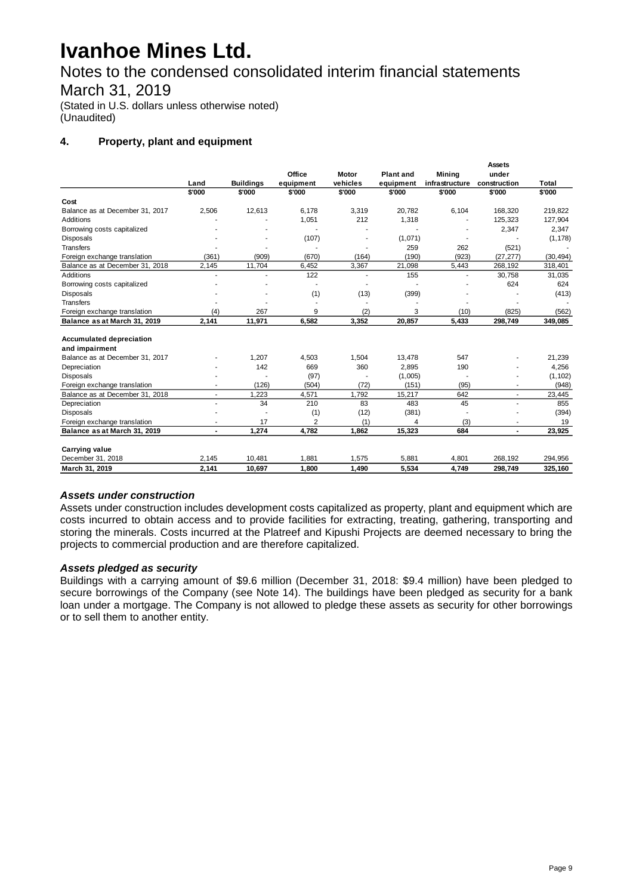Notes to the condensed consolidated interim financial statements

### March 31, 2019

(Stated in U.S. dollars unless otherwise noted) (Unaudited)

#### **4. Property, plant and equipment**

|                                                                                               |                | Assets                   |           |
|-----------------------------------------------------------------------------------------------|----------------|--------------------------|-----------|
| Office<br>Motor<br><b>Plant and</b>                                                           | Mining         | under                    |           |
| <b>Buildings</b><br>vehicles<br>Land<br>equipment<br>equipment                                | infrastructure | construction             | Total     |
| \$'000<br>\$'000<br>\$'000<br>\$'000<br>\$'000                                                | \$'000         | \$'000                   | \$'000    |
| Cost                                                                                          |                |                          |           |
| 2,506<br>12,613<br>6.178<br>3,319<br>20,782<br>Balance as at December 31, 2017                | 6,104          | 168,320                  | 219,822   |
| <b>Additions</b><br>1,051<br>212<br>1,318                                                     |                | 125,323                  | 127,904   |
| Borrowing costs capitalized                                                                   |                | 2,347                    | 2,347     |
| (107)<br>(1,071)<br><b>Disposals</b>                                                          |                |                          | (1, 178)  |
| <b>Transfers</b><br>259                                                                       | 262            | (521)                    |           |
| (361)<br>(909)<br>(670)<br>(164)<br>(190)<br>Foreign exchange translation                     | (923)          | (27, 277)                | (30, 494) |
| 2,145<br>11,704<br>6,452<br>3,367<br>21,098<br>Balance as at December 31, 2018                | 5,443          | 268,192                  | 318,401   |
| 122<br><b>Additions</b><br>155<br>÷                                                           |                | 30,758                   | 31,035    |
| Borrowing costs capitalized                                                                   |                | 624                      | 624       |
| (1)<br>(13)<br>(399)<br><b>Disposals</b>                                                      |                |                          | (413)     |
| <b>Transfers</b><br>÷<br>$\overline{a}$                                                       |                |                          |           |
| 9<br>(2)<br>(4)<br>267<br>3<br>Foreign exchange translation                                   | (10)           | (825)                    | (562)     |
| 2,141<br>6,582<br>3,352<br>20,857<br>Balance as at March 31, 2019<br>11,971                   | 5,433          | 298,749                  | 349,085   |
|                                                                                               |                |                          |           |
| <b>Accumulated depreciation</b>                                                               |                |                          |           |
| and impairment                                                                                |                |                          |           |
| Balance as at December 31, 2017<br>1,207<br>1,504<br>4,503<br>13,478                          | 547            |                          | 21,239    |
| 142<br>669<br>360<br>2,895<br>Depreciation                                                    | 190            |                          | 4,256     |
| (97)<br>(1,005)<br><b>Disposals</b>                                                           |                |                          | (1, 102)  |
| (126)<br>(72)<br>(504)<br>(151)<br>Foreign exchange translation                               | (95)           |                          | (948)     |
| 1,792<br>Balance as at December 31, 2018<br>1,223<br>4,571<br>15,217<br>٠                     | 642            | ٠                        | 23,445    |
| 34<br>Depreciation<br>210<br>83<br>483                                                        | 45             | ÷                        | 855       |
| (1)<br>(12)<br>(381)<br><b>Disposals</b>                                                      | ä,             |                          | (394)     |
| $\overline{2}$<br>17<br>(1)<br>Foreign exchange translation<br>4                              | (3)            |                          | 19        |
| 1,274<br>4,782<br>1,862<br>15,323<br>Balance as at March 31, 2019<br>$\overline{\phantom{0}}$ | 684            | $\overline{\phantom{a}}$ | 23,925    |
| <b>Carrying value</b>                                                                         |                |                          |           |
| 1,881<br>2,145<br>10,481<br>1,575<br>5,881<br>December 31, 2018                               | 4,801          | 268,192                  | 294,956   |
| 2,141<br>1,800<br>1,490<br>5,534<br>March 31, 2019<br>10,697                                  | 4,749          | 298,749                  | 325,160   |

#### *Assets under construction*

Assets under construction includes development costs capitalized as property, plant and equipment which are costs incurred to obtain access and to provide facilities for extracting, treating, gathering, transporting and storing the minerals. Costs incurred at the Platreef and Kipushi Projects are deemed necessary to bring the projects to commercial production and are therefore capitalized.

#### *Assets pledged as security*

Buildings with a carrying amount of \$9.6 million (December 31, 2018: \$9.4 million) have been pledged to secure borrowings of the Company (see Note 14). The buildings have been pledged as security for a bank loan under a mortgage. The Company is not allowed to pledge these assets as security for other borrowings or to sell them to another entity.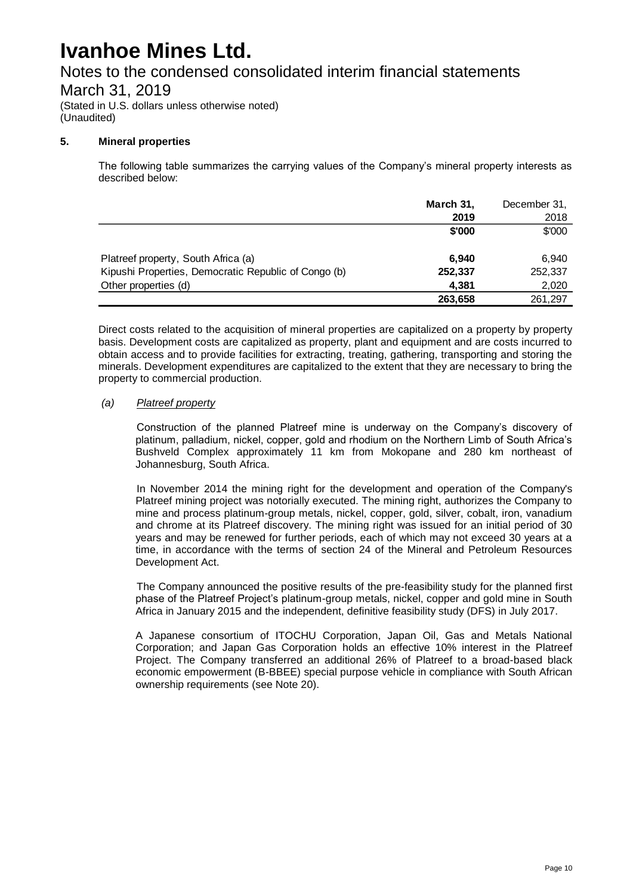# Notes to the condensed consolidated interim financial statements

March 31, 2019

(Stated in U.S. dollars unless otherwise noted) (Unaudited)

#### **5. Mineral properties**

The following table summarizes the carrying values of the Company's mineral property interests as described below:

|                                                      | March 31, | December 31, |
|------------------------------------------------------|-----------|--------------|
|                                                      | 2019      | 2018         |
|                                                      | \$'000    | \$'000       |
|                                                      |           |              |
| Platreef property, South Africa (a)                  | 6.940     | 6.940        |
| Kipushi Properties, Democratic Republic of Congo (b) | 252,337   | 252,337      |
| Other properties (d)                                 | 4.381     | 2,020        |
|                                                      | 263,658   | 261,297      |

Direct costs related to the acquisition of mineral properties are capitalized on a property by property basis. Development costs are capitalized as property, plant and equipment and are costs incurred to obtain access and to provide facilities for extracting, treating, gathering, transporting and storing the minerals. Development expenditures are capitalized to the extent that they are necessary to bring the property to commercial production.

#### *(a) Platreef property*

Construction of the planned Platreef mine is underway on the Company's discovery of platinum, palladium, nickel, copper, gold and rhodium on the Northern Limb of South Africa's Bushveld Complex approximately 11 km from Mokopane and 280 km northeast of Johannesburg, South Africa.

In November 2014 the mining right for the development and operation of the Company's Platreef mining project was notorially executed. The mining right, authorizes the Company to mine and process platinum-group metals, nickel, copper, gold, silver, cobalt, iron, vanadium and chrome at its Platreef discovery. The mining right was issued for an initial period of 30 years and may be renewed for further periods, each of which may not exceed 30 years at a time, in accordance with the terms of section 24 of the Mineral and Petroleum Resources Development Act.

The Company announced the positive results of the pre-feasibility study for the planned first phase of the Platreef Project's platinum-group metals, nickel, copper and gold mine in South Africa in January 2015 and the independent, definitive feasibility study (DFS) in July 2017.

A Japanese consortium of ITOCHU Corporation, Japan Oil, Gas and Metals National Corporation; and Japan Gas Corporation holds an effective 10% interest in the Platreef Project. The Company transferred an additional 26% of Platreef to a broad-based black economic empowerment (B-BBEE) special purpose vehicle in compliance with South African ownership requirements (see Note 20).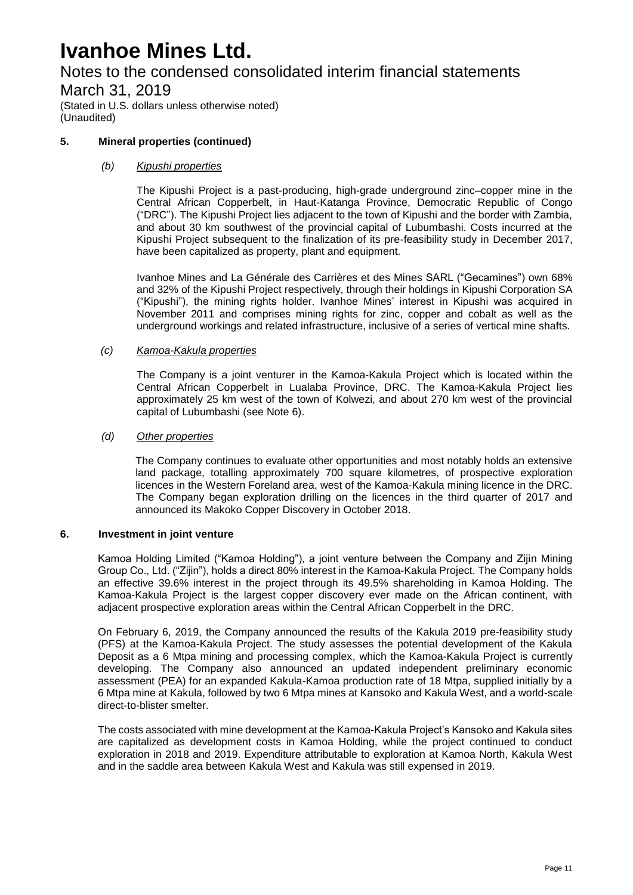Notes to the condensed consolidated interim financial statements

### March 31, 2019

(Stated in U.S. dollars unless otherwise noted) (Unaudited)

#### **5. Mineral properties (continued)**

#### *(b) Kipushi properties*

The Kipushi Project is a past-producing, high-grade underground zinc–copper mine in the Central African Copperbelt, in Haut-Katanga Province, Democratic Republic of Congo ("DRC"). The Kipushi Project lies adjacent to the town of Kipushi and the border with Zambia, and about 30 km southwest of the provincial capital of Lubumbashi. Costs incurred at the Kipushi Project subsequent to the finalization of its pre-feasibility study in December 2017, have been capitalized as property, plant and equipment.

Ivanhoe Mines and La Générale des Carrières et des Mines SARL ("Gecamines") own 68% and 32% of the Kipushi Project respectively, through their holdings in Kipushi Corporation SA ("Kipushi"), the mining rights holder. Ivanhoe Mines' interest in Kipushi was acquired in November 2011 and comprises mining rights for zinc, copper and cobalt as well as the underground workings and related infrastructure, inclusive of a series of vertical mine shafts.

#### *(c) Kamoa-Kakula properties*

The Company is a joint venturer in the Kamoa-Kakula Project which is located within the Central African Copperbelt in Lualaba Province, DRC. The Kamoa-Kakula Project lies approximately 25 km west of the town of Kolwezi, and about 270 km west of the provincial capital of Lubumbashi (see Note 6).

#### *(d) Other properties*

The Company continues to evaluate other opportunities and most notably holds an extensive land package, totalling approximately 700 square kilometres, of prospective exploration licences in the Western Foreland area, west of the Kamoa-Kakula mining licence in the DRC. The Company began exploration drilling on the licences in the third quarter of 2017 and announced its Makoko Copper Discovery in October 2018.

#### **6. Investment in joint venture**

Kamoa Holding Limited ("Kamoa Holding"), a joint venture between the Company and Zijin Mining Group Co., Ltd. ("Zijin"), holds a direct 80% interest in the Kamoa-Kakula Project. The Company holds an effective 39.6% interest in the project through its 49.5% shareholding in Kamoa Holding. The Kamoa-Kakula Project is the largest copper discovery ever made on the African continent, with adjacent prospective exploration areas within the Central African Copperbelt in the DRC.

On February 6, 2019, the Company announced the results of the Kakula 2019 pre-feasibility study (PFS) at the Kamoa-Kakula Project. The study assesses the potential development of the Kakula Deposit as a 6 Mtpa mining and processing complex, which the Kamoa-Kakula Project is currently developing. The Company also announced an updated independent preliminary economic assessment (PEA) for an expanded Kakula-Kamoa production rate of 18 Mtpa, supplied initially by a 6 Mtpa mine at Kakula, followed by two 6 Mtpa mines at Kansoko and Kakula West, and a world-scale direct-to-blister smelter.

The costs associated with mine development at the Kamoa-Kakula Project's Kansoko and Kakula sites are capitalized as development costs in Kamoa Holding, while the project continued to conduct exploration in 2018 and 2019. Expenditure attributable to exploration at Kamoa North, Kakula West and in the saddle area between Kakula West and Kakula was still expensed in 2019.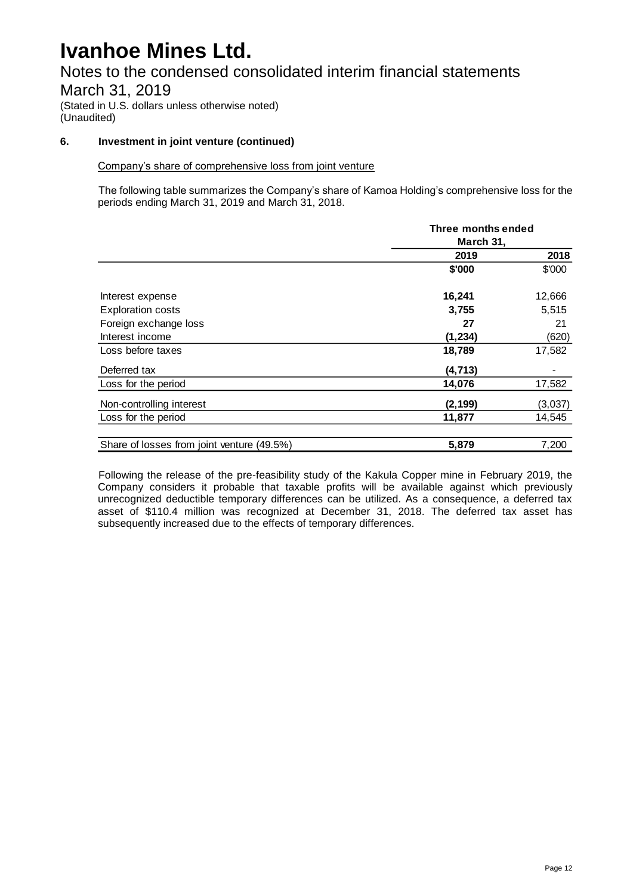Notes to the condensed consolidated interim financial statements March 31, 2019

(Stated in U.S. dollars unless otherwise noted) (Unaudited)

#### **6. Investment in joint venture (continued)**

#### Company's share of comprehensive loss from joint venture

The following table summarizes the Company's share of Kamoa Holding's comprehensive loss for the periods ending March 31, 2019 and March 31, 2018.

|                                            | Three months ended<br>March 31, |         |  |
|--------------------------------------------|---------------------------------|---------|--|
|                                            | 2019                            | 2018    |  |
|                                            | \$'000                          | \$'000  |  |
| Interest expense                           | 16,241                          | 12,666  |  |
| <b>Exploration costs</b>                   | 3,755                           | 5,515   |  |
| Foreign exchange loss                      | 27                              | 21      |  |
| Interest income                            | (1, 234)                        | (620)   |  |
| Loss before taxes                          | 18,789                          | 17,582  |  |
| Deferred tax                               | (4, 713)                        |         |  |
| Loss for the period                        | 14,076                          | 17,582  |  |
| Non-controlling interest                   | (2, 199)                        | (3,037) |  |
| Loss for the period                        | 11,877                          | 14,545  |  |
|                                            |                                 |         |  |
| Share of losses from joint venture (49.5%) | 5,879                           | 7,200   |  |

Following the release of the pre-feasibility study of the Kakula Copper mine in February 2019, the Company considers it probable that taxable profits will be available against which previously unrecognized deductible temporary differences can be utilized. As a consequence, a deferred tax asset of \$110.4 million was recognized at December 31, 2018. The deferred tax asset has subsequently increased due to the effects of temporary differences.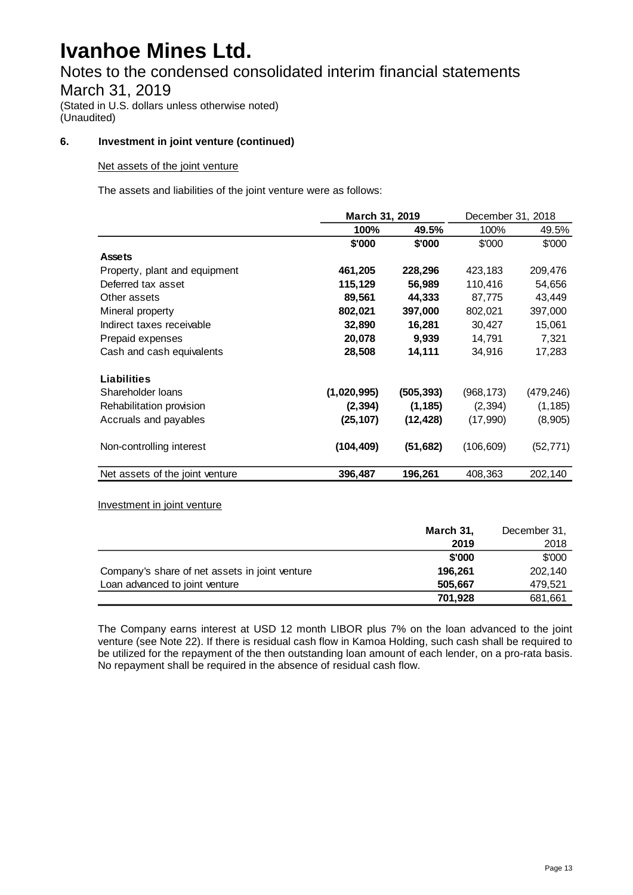### Notes to the condensed consolidated interim financial statements

### March 31, 2019

(Stated in U.S. dollars unless otherwise noted) (Unaudited)

#### **6. Investment in joint venture (continued)**

#### Net assets of the joint venture

The assets and liabilities of the joint venture were as follows:

|                                 | March 31, 2019 |            | December 31, 2018 |           |
|---------------------------------|----------------|------------|-------------------|-----------|
|                                 | 100%           | 49.5%      | 100%              | 49.5%     |
|                                 | \$'000         | \$'000     | \$'000            | \$'000    |
| <b>Assets</b>                   |                |            |                   |           |
| Property, plant and equipment   | 461,205        | 228,296    | 423,183           | 209,476   |
| Deferred tax asset              | 115,129        | 56,989     | 110,416           | 54,656    |
| Other assets                    | 89,561         | 44,333     | 87,775            | 43,449    |
| Mineral property                | 802,021        | 397,000    | 802,021           | 397,000   |
| Indirect taxes receivable       | 32,890         | 16,281     | 30,427            | 15,061    |
| Prepaid expenses                | 20,078         | 9,939      | 14,791            | 7,321     |
| Cash and cash equivalents       | 28,508         | 14,111     | 34,916            | 17,283    |
| Liabilities                     |                |            |                   |           |
| Shareholder Ioans               | (1,020,995)    | (505, 393) | (968, 173)        | (479,246) |
| Rehabilitation provision        | (2, 394)       | (1, 185)   | (2, 394)          | (1, 185)  |
| Accruals and payables           | (25, 107)      | (12, 428)  | (17,990)          | (8,905)   |
| Non-controlling interest        | (104, 409)     | (51, 682)  | (106, 609)        | (52, 771) |
| Net assets of the joint venture | 396,487        | 196,261    | 408,363           | 202,140   |

#### Investment in joint venture

|                                                | March 31, | December 31, |
|------------------------------------------------|-----------|--------------|
|                                                | 2019      | 2018         |
|                                                | \$'000    | \$'000       |
| Company's share of net assets in joint venture | 196.261   | 202.140      |
| Loan advanced to joint venture                 | 505.667   | 479.521      |
|                                                | 701.928   | 681,661      |

The Company earns interest at USD 12 month LIBOR plus 7% on the loan advanced to the joint venture (see Note 22). If there is residual cash flow in Kamoa Holding, such cash shall be required to be utilized for the repayment of the then outstanding loan amount of each lender, on a pro-rata basis. No repayment shall be required in the absence of residual cash flow.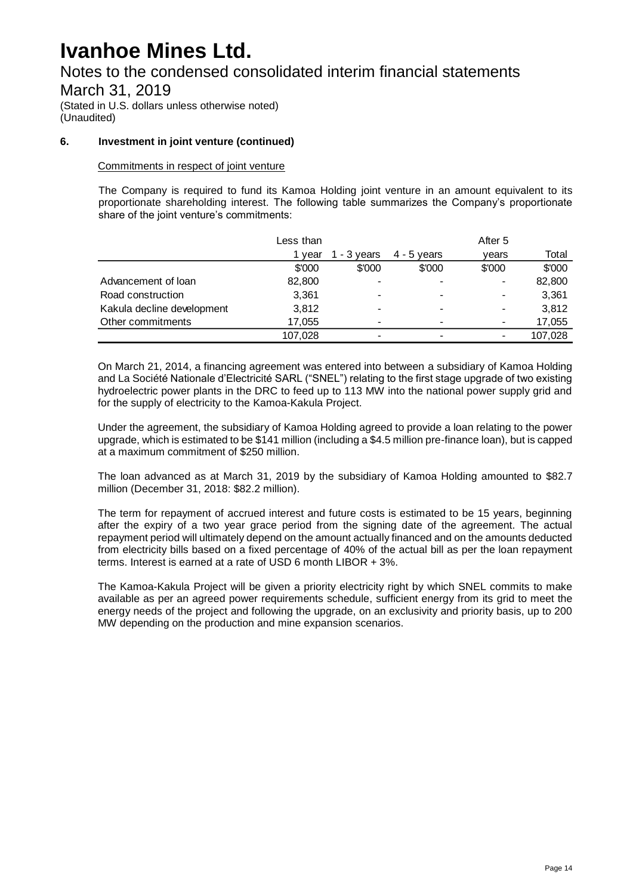Notes to the condensed consolidated interim financial statements

March 31, 2019

(Stated in U.S. dollars unless otherwise noted) (Unaudited)

#### **6. Investment in joint venture (continued)**

#### Commitments in respect of joint venture

The Company is required to fund its Kamoa Holding joint venture in an amount equivalent to its proportionate shareholding interest. The following table summarizes the Company's proportionate share of the joint venture's commitments:

|                            | Less than |                          |               | After 5 |         |
|----------------------------|-----------|--------------------------|---------------|---------|---------|
|                            | vear      | 1 - $3$ years            | $4 - 5$ vears | vears   | Total   |
|                            | \$'000    | \$'000                   | \$'000        | \$'000  | \$'000  |
| Advancement of loan        | 82,800    | $\overline{\phantom{a}}$ |               |         | 82,800  |
| Road construction          | 3,361     | $\,$                     |               |         | 3,361   |
| Kakula decline development | 3,812     | $\blacksquare$           | -             |         | 3,812   |
| Other commitments          | 17.055    | $\,$                     | -             |         | 17,055  |
|                            | 107,028   | $\,$                     |               |         | 107.028 |

On March 21, 2014, a financing agreement was entered into between a subsidiary of Kamoa Holding and La Société Nationale d'Electricité SARL ("SNEL") relating to the first stage upgrade of two existing hydroelectric power plants in the DRC to feed up to 113 MW into the national power supply grid and for the supply of electricity to the Kamoa-Kakula Project.

Under the agreement, the subsidiary of Kamoa Holding agreed to provide a loan relating to the power upgrade, which is estimated to be \$141 million (including a \$4.5 million pre-finance loan), but is capped at a maximum commitment of \$250 million.

The loan advanced as at March 31, 2019 by the subsidiary of Kamoa Holding amounted to \$82.7 million (December 31, 2018: \$82.2 million).

The term for repayment of accrued interest and future costs is estimated to be 15 years, beginning after the expiry of a two year grace period from the signing date of the agreement. The actual repayment period will ultimately depend on the amount actually financed and on the amounts deducted from electricity bills based on a fixed percentage of 40% of the actual bill as per the loan repayment terms. Interest is earned at a rate of USD 6 month LIBOR + 3%.

The Kamoa-Kakula Project will be given a priority electricity right by which SNEL commits to make available as per an agreed power requirements schedule, sufficient energy from its grid to meet the energy needs of the project and following the upgrade, on an exclusivity and priority basis, up to 200 MW depending on the production and mine expansion scenarios.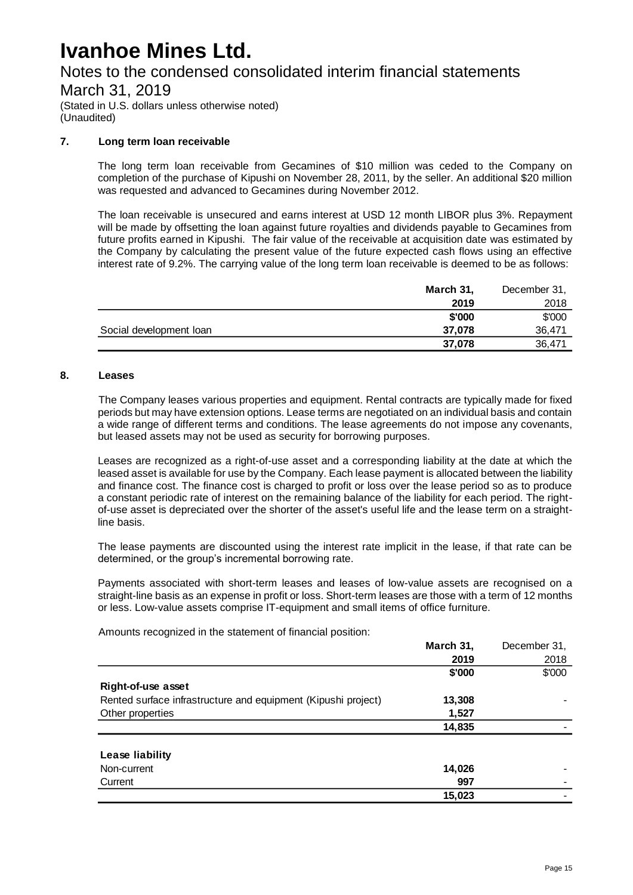### Notes to the condensed consolidated interim financial statements

March 31, 2019

(Stated in U.S. dollars unless otherwise noted) (Unaudited)

#### **7. Long term loan receivable**

The long term loan receivable from Gecamines of \$10 million was ceded to the Company on completion of the purchase of Kipushi on November 28, 2011, by the seller. An additional \$20 million was requested and advanced to Gecamines during November 2012.

The loan receivable is unsecured and earns interest at USD 12 month LIBOR plus 3%. Repayment will be made by offsetting the loan against future royalties and dividends payable to Gecamines from future profits earned in Kipushi. The fair value of the receivable at acquisition date was estimated by the Company by calculating the present value of the future expected cash flows using an effective interest rate of 9.2%. The carrying value of the long term loan receivable is deemed to be as follows:

|                         | March 31, | December 31, |
|-------------------------|-----------|--------------|
|                         | 2019      | 2018         |
|                         | \$'000    | \$'000       |
| Social development loan | 37.078    | 36.471       |
|                         | 37,078    | 36,471       |

#### **8. Leases**

The Company leases various properties and equipment. Rental contracts are typically made for fixed periods but may have extension options. Lease terms are negotiated on an individual basis and contain a wide range of different terms and conditions. The lease agreements do not impose any covenants, but leased assets may not be used as security for borrowing purposes.

Leases are recognized as a right-of-use asset and a corresponding liability at the date at which the leased asset is available for use by the Company. Each lease payment is allocated between the liability and finance cost. The finance cost is charged to profit or loss over the lease period so as to produce a constant periodic rate of interest on the remaining balance of the liability for each period. The rightof-use asset is depreciated over the shorter of the asset's useful life and the lease term on a straightline basis.

The lease payments are discounted using the interest rate implicit in the lease, if that rate can be determined, or the group's incremental borrowing rate.

Payments associated with short-term leases and leases of low-value assets are recognised on a straight-line basis as an expense in profit or loss. Short-term leases are those with a term of 12 months or less. Low-value assets comprise IT-equipment and small items of office furniture.

Amounts recognized in the statement of financial position:

|                                                               | March 31, | December 31, |
|---------------------------------------------------------------|-----------|--------------|
|                                                               | 2019      | 2018         |
|                                                               | \$'000    | \$'000       |
| Right-of-use asset                                            |           |              |
| Rented surface infrastructure and equipment (Kipushi project) | 13,308    |              |
| Other properties                                              | 1,527     |              |
|                                                               | 14,835    |              |
| Lease liability                                               |           |              |
| Non-current                                                   | 14,026    |              |
| Current                                                       | 997       |              |
|                                                               | 15,023    |              |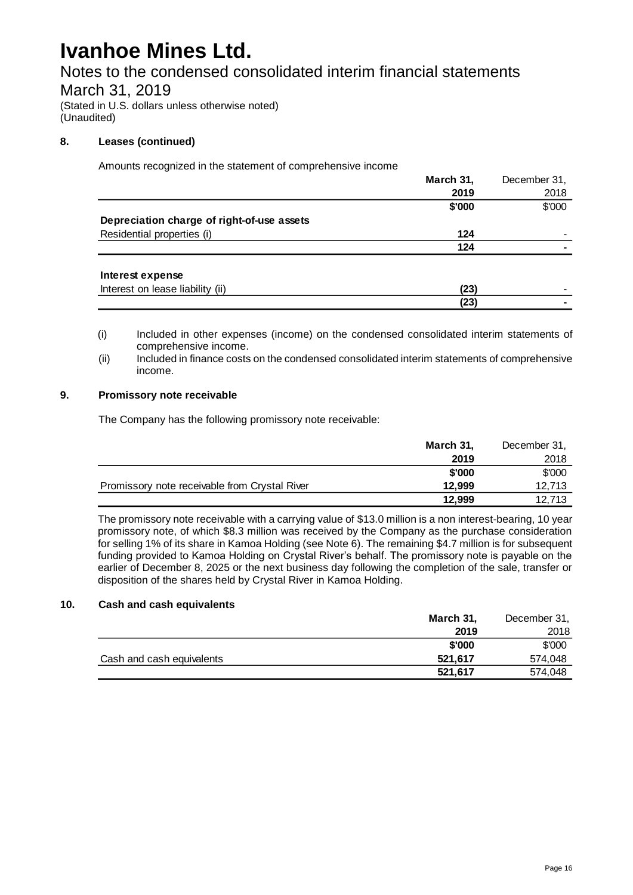Notes to the condensed consolidated interim financial statements

### March 31, 2019

(Stated in U.S. dollars unless otherwise noted) (Unaudited)

#### **8. Leases (continued)**

Amounts recognized in the statement of comprehensive income

|                                            | March 31, | December 31, |
|--------------------------------------------|-----------|--------------|
|                                            | 2019      | 2018         |
|                                            | \$'000    | \$'000       |
| Depreciation charge of right-of-use assets |           |              |
| Residential properties (i)                 | 124       |              |
|                                            | 124       |              |
| Interest expense                           |           |              |
| Interest on lease liability (ii)           | (23)      |              |
|                                            | (23)      |              |

(i) Included in other expenses (income) on the condensed consolidated interim statements of comprehensive income.

(ii) Included in finance costs on the condensed consolidated interim statements of comprehensive income.

#### **9. Promissory note receivable**

The Company has the following promissory note receivable:

|                                               | March 31, | December 31, |
|-----------------------------------------------|-----------|--------------|
|                                               | 2019      | 2018         |
|                                               | \$'000    | \$'000       |
| Promissory note receivable from Crystal River | 12.999    | 12.713       |
|                                               | 12.999    | 12.713       |

The promissory note receivable with a carrying value of \$13.0 million is a non interest-bearing, 10 year promissory note, of which \$8.3 million was received by the Company as the purchase consideration for selling 1% of its share in Kamoa Holding (see Note 6). The remaining \$4.7 million is for subsequent funding provided to Kamoa Holding on Crystal River's behalf. The promissory note is payable on the earlier of December 8, 2025 or the next business day following the completion of the sale, transfer or disposition of the shares held by Crystal River in Kamoa Holding.

#### **10. Cash and cash equivalents**

|                           | March 31, | December 31, |
|---------------------------|-----------|--------------|
|                           | 2019      | 2018         |
|                           | \$'000    | \$'000       |
| Cash and cash equivalents | 521.617   | 574,048      |
|                           | 521.617   | 574,048      |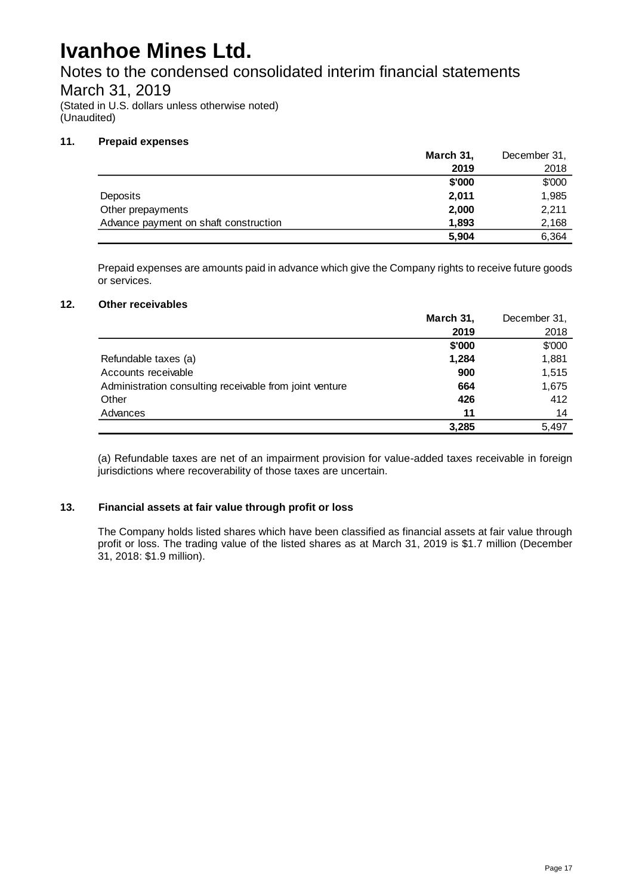Notes to the condensed consolidated interim financial statements

### March 31, 2019

(Stated in U.S. dollars unless otherwise noted) (Unaudited)

#### **11. Prepaid expenses**

|                                       | March 31, | December 31, |
|---------------------------------------|-----------|--------------|
|                                       | 2019      | 2018         |
|                                       | \$'000    | \$'000       |
| <b>Deposits</b>                       | 2.011     | 1,985        |
| Other prepayments                     | 2,000     | 2.211        |
| Advance payment on shaft construction | 1,893     | 2,168        |
|                                       | 5,904     | 6.364        |

Prepaid expenses are amounts paid in advance which give the Company rights to receive future goods or services.

#### **12. Other receivables**

|                                                         | March 31, | December 31, |
|---------------------------------------------------------|-----------|--------------|
|                                                         | 2019      | 2018         |
|                                                         | \$'000    | \$'000       |
| Refundable taxes (a)                                    | 1,284     | 1,881        |
| Accounts receivable                                     | 900       | 1,515        |
| Administration consulting receivable from joint venture | 664       | 1,675        |
| Other                                                   | 426       | 412          |
| Advances                                                | 11        | 14           |
|                                                         | 3,285     | 5.497        |

(a) Refundable taxes are net of an impairment provision for value-added taxes receivable in foreign jurisdictions where recoverability of those taxes are uncertain.

#### **13. Financial assets at fair value through profit or loss**

The Company holds listed shares which have been classified as financial assets at fair value through profit or loss. The trading value of the listed shares as at March 31, 2019 is \$1.7 million (December 31, 2018: \$1.9 million).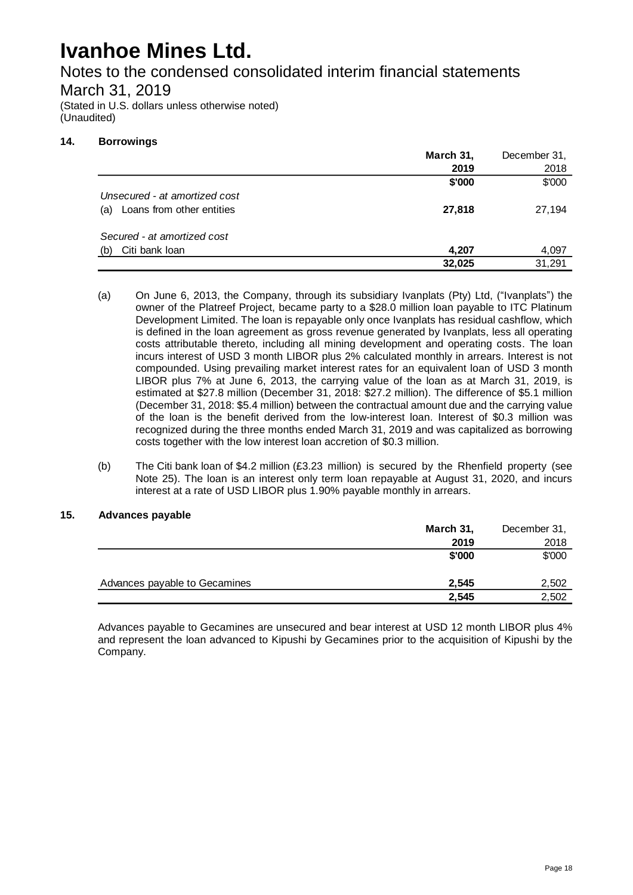Notes to the condensed consolidated interim financial statements

### March 31, 2019

(Stated in U.S. dollars unless otherwise noted) (Unaudited)

#### **14. Borrowings**

|                                  | March 31, | December 31, |
|----------------------------------|-----------|--------------|
|                                  | 2019      | 2018         |
|                                  | \$'000    | \$'000       |
| Unsecured - at amortized cost    |           |              |
| Loans from other entities<br>(a) | 27,818    | 27,194       |
| Secured - at amortized cost      |           |              |
| Citi bank loan<br>(b)            | 4.207     | 4,097        |
|                                  | 32,025    | 31.291       |

- (a) On June 6, 2013, the Company, through its subsidiary Ivanplats (Pty) Ltd, ("Ivanplats") the owner of the Platreef Project, became party to a \$28.0 million loan payable to ITC Platinum Development Limited. The loan is repayable only once Ivanplats has residual cashflow, which is defined in the loan agreement as gross revenue generated by Ivanplats, less all operating costs attributable thereto, including all mining development and operating costs. The loan incurs interest of USD 3 month LIBOR plus 2% calculated monthly in arrears. Interest is not compounded. Using prevailing market interest rates for an equivalent loan of USD 3 month LIBOR plus 7% at June 6, 2013, the carrying value of the loan as at March 31, 2019, is estimated at \$27.8 million (December 31, 2018: \$27.2 million). The difference of \$5.1 million (December 31, 2018: \$5.4 million) between the contractual amount due and the carrying value of the loan is the benefit derived from the low-interest loan. Interest of \$0.3 million was recognized during the three months ended March 31, 2019 and was capitalized as borrowing costs together with the low interest loan accretion of \$0.3 million.
- (b) The Citi bank loan of \$4.2 million (£3.23 million) is secured by the Rhenfield property (see Note 25). The loan is an interest only term loan repayable at August 31, 2020, and incurs interest at a rate of USD LIBOR plus 1.90% payable monthly in arrears.

#### **15. Advances payable**

|                               | March 31, | December 31, |
|-------------------------------|-----------|--------------|
|                               | 2019      | 2018         |
|                               | \$'000    | \$'000       |
|                               |           |              |
| Advances payable to Gecamines | 2,545     | 2,502        |
|                               | 2.545     | 2.502        |

Advances payable to Gecamines are unsecured and bear interest at USD 12 month LIBOR plus 4% and represent the loan advanced to Kipushi by Gecamines prior to the acquisition of Kipushi by the Company.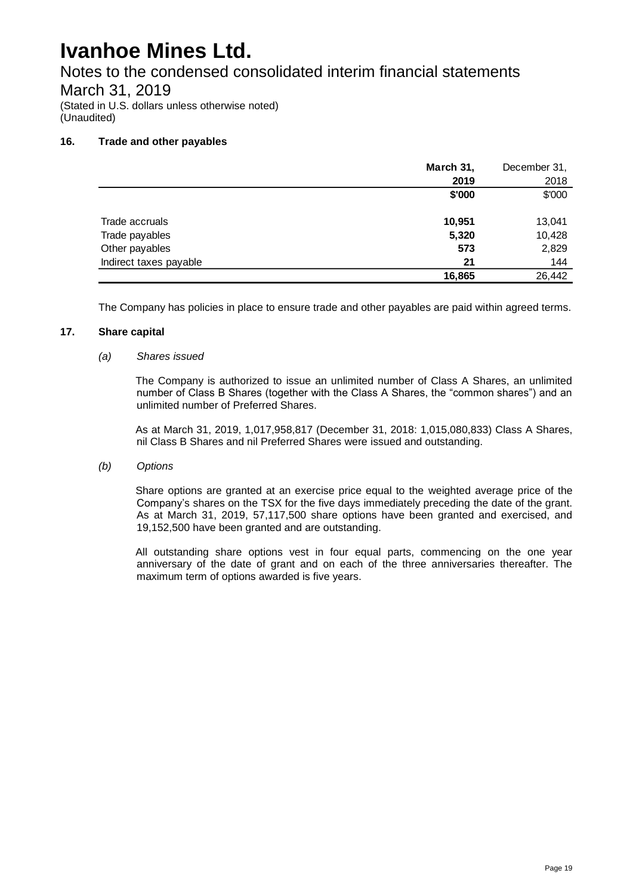Notes to the condensed consolidated interim financial statements

### March 31, 2019

(Stated in U.S. dollars unless otherwise noted) (Unaudited)

#### **16. Trade and other payables**

|                        | March 31, | December 31, |
|------------------------|-----------|--------------|
|                        | 2019      | 2018         |
|                        | \$'000    | \$'000       |
|                        |           |              |
| Trade accruals         | 10,951    | 13,041       |
| Trade payables         | 5,320     | 10,428       |
| Other payables         | 573       | 2,829        |
| Indirect taxes payable | 21        | 144          |
|                        | 16,865    | 26,442       |

The Company has policies in place to ensure trade and other payables are paid within agreed terms.

#### **17. Share capital**

#### *(a) Shares issued*

The Company is authorized to issue an unlimited number of Class A Shares, an unlimited number of Class B Shares (together with the Class A Shares, the "common shares") and an unlimited number of Preferred Shares.

As at March 31, 2019, 1,017,958,817 (December 31, 2018: 1,015,080,833) Class A Shares, nil Class B Shares and nil Preferred Shares were issued and outstanding.

#### *(b) Options*

Share options are granted at an exercise price equal to the weighted average price of the Company's shares on the TSX for the five days immediately preceding the date of the grant. As at March 31, 2019, 57,117,500 share options have been granted and exercised, and 19,152,500 have been granted and are outstanding.

All outstanding share options vest in four equal parts, commencing on the one year anniversary of the date of grant and on each of the three anniversaries thereafter. The maximum term of options awarded is five years.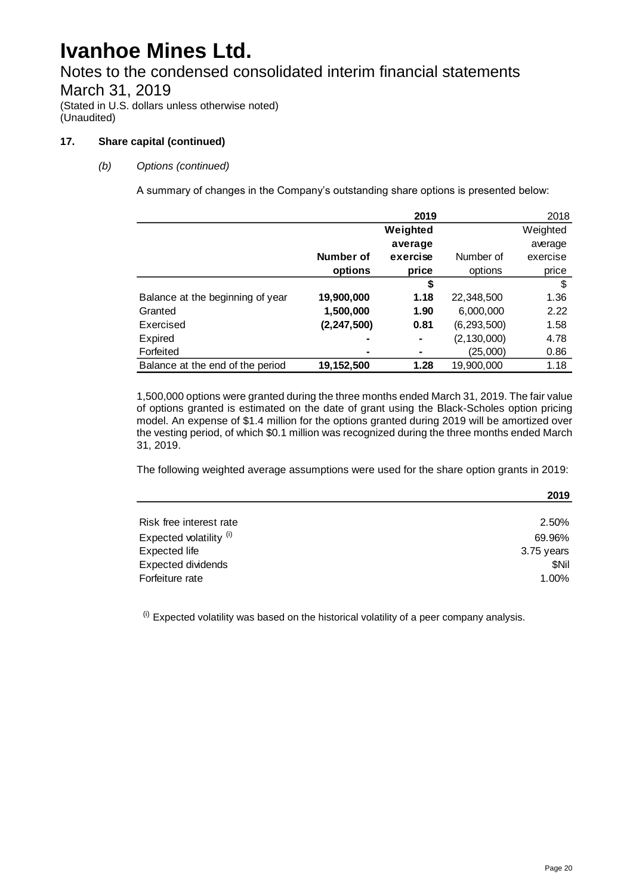### Notes to the condensed consolidated interim financial statements March 31, 2019

(Stated in U.S. dollars unless otherwise noted) (Unaudited)

#### **17. Share capital (continued)**

#### *(b) Options (continued)*

A summary of changes in the Company's outstanding share options is presented below:

|                                  |               | 2019     |               | 2018     |
|----------------------------------|---------------|----------|---------------|----------|
|                                  |               | Weighted |               | Weighted |
|                                  |               | average  |               | average  |
|                                  | Number of     | exercise | Number of     | exercise |
|                                  | options       | price    | options       | price    |
|                                  |               | \$       |               | \$       |
| Balance at the beginning of year | 19,900,000    | 1.18     | 22,348,500    | 1.36     |
| Granted                          | 1,500,000     | 1.90     | 6,000,000     | 2.22     |
| Exercised                        | (2, 247, 500) | 0.81     | (6, 293, 500) | 1.58     |
| Expired                          |               | ۰        | (2, 130, 000) | 4.78     |
| Forfeited                        |               |          | (25,000)      | 0.86     |
| Balance at the end of the period | 19,152,500    | 1.28     | 19,900,000    | 1.18     |

1,500,000 options were granted during the three months ended March 31, 2019. The fair value of options granted is estimated on the date of grant using the Black-Scholes option pricing model. An expense of \$1.4 million for the options granted during 2019 will be amortized over the vesting period, of which \$0.1 million was recognized during the three months ended March 31, 2019.

The following weighted average assumptions were used for the share option grants in 2019:

|                           | 2019       |
|---------------------------|------------|
|                           |            |
| Risk free interest rate   | 2.50%      |
| Expected volatility (i)   | 69.96%     |
| Expected life             | 3.75 years |
| <b>Expected dividends</b> | \$Nil      |
| Forfeiture rate           | 1.00%      |

 $<sup>(i)</sup>$  Expected volatility was based on the historical volatility of a peer company analysis.</sup>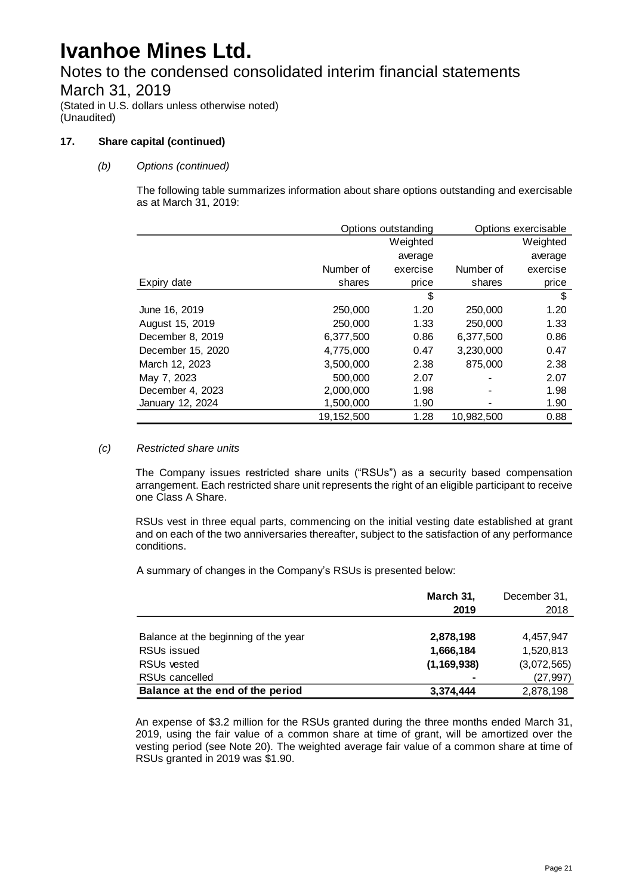Notes to the condensed consolidated interim financial statements March 31, 2019

(Stated in U.S. dollars unless otherwise noted) (Unaudited)

#### **17. Share capital (continued)**

#### *(b) Options (continued)*

The following table summarizes information about share options outstanding and exercisable as at March 31, 2019:

|                   | Options outstanding |          | Options exercisable |          |
|-------------------|---------------------|----------|---------------------|----------|
|                   |                     | Weighted |                     | Weighted |
|                   |                     | average  |                     | average  |
|                   | Number of           | exercise | Number of           | exercise |
| Expiry date       | shares              | price    | shares              | price    |
|                   |                     | \$       |                     | \$       |
| June 16, 2019     | 250,000             | 1.20     | 250,000             | 1.20     |
| August 15, 2019   | 250,000             | 1.33     | 250,000             | 1.33     |
| December 8, 2019  | 6,377,500           | 0.86     | 6,377,500           | 0.86     |
| December 15, 2020 | 4,775,000           | 0.47     | 3,230,000           | 0.47     |
| March 12, 2023    | 3.500.000           | 2.38     | 875,000             | 2.38     |
| May 7, 2023       | 500,000             | 2.07     |                     | 2.07     |
| December 4, 2023  | 2,000,000           | 1.98     |                     | 1.98     |
| January 12, 2024  | 1,500,000           | 1.90     |                     | 1.90     |
|                   | 19,152,500          | 1.28     | 10,982,500          | 0.88     |

#### *(c) Restricted share units*

The Company issues restricted share units ("RSUs") as a security based compensation arrangement. Each restricted share unit represents the right of an eligible participant to receive one Class A Share.

RSUs vest in three equal parts, commencing on the initial vesting date established at grant and on each of the two anniversaries thereafter, subject to the satisfaction of any performance conditions.

A summary of changes in the Company's RSUs is presented below:

|                                      | March 31,<br>2019 | December 31,<br>2018 |
|--------------------------------------|-------------------|----------------------|
|                                      |                   |                      |
| Balance at the beginning of the year | 2,878,198         | 4,457,947            |
| RSU <sub>s</sub> issued              | 1,666,184         | 1,520,813            |
| <b>RSUs vested</b>                   | (1, 169, 938)     | (3,072,565)          |
| RSUs cancelled                       |                   | (27, 997)            |
| Balance at the end of the period     | 3,374,444         | 2,878,198            |

An expense of \$3.2 million for the RSUs granted during the three months ended March 31, 2019, using the fair value of a common share at time of grant, will be amortized over the vesting period (see Note 20). The weighted average fair value of a common share at time of RSUs granted in 2019 was \$1.90.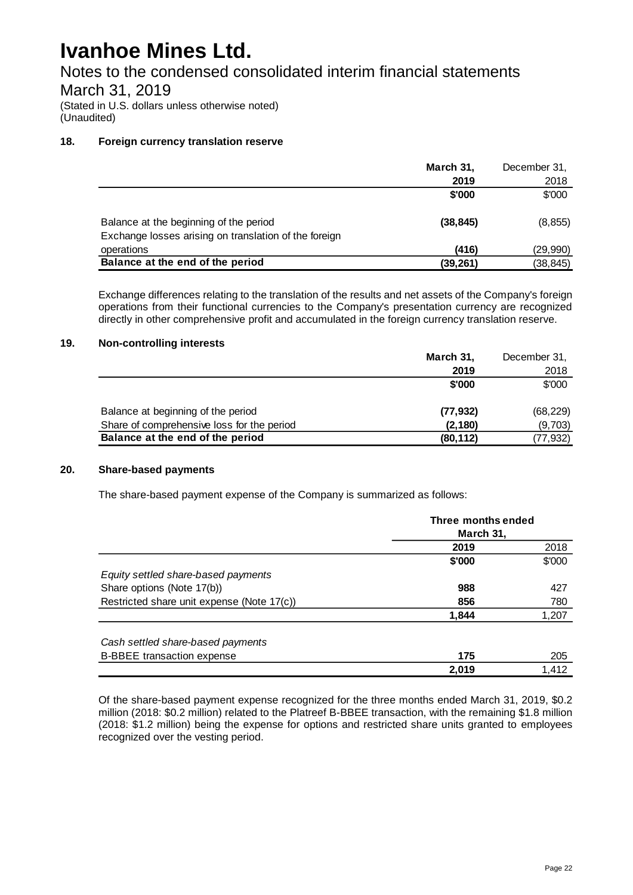Notes to the condensed consolidated interim financial statements

### March 31, 2019

(Stated in U.S. dollars unless otherwise noted) (Unaudited)

#### **18. Foreign currency translation reserve**

|                                                       | March 31, | December 31, |
|-------------------------------------------------------|-----------|--------------|
|                                                       | 2019      | 2018         |
|                                                       | \$'000    | \$'000       |
|                                                       |           |              |
| Balance at the beginning of the period                | (38.845)  | (8, 855)     |
| Exchange losses arising on translation of the foreign |           |              |
| operations                                            | (416)     | (29,990)     |
| Balance at the end of the period                      | (39, 261) | (38, 845)    |

Exchange differences relating to the translation of the results and net assets of the Company's foreign operations from their functional currencies to the Company's presentation currency are recognized directly in other comprehensive profit and accumulated in the foreign currency translation reserve.

#### **19. Non-controlling interests**

|                                            | March 31, | December 31, |
|--------------------------------------------|-----------|--------------|
|                                            | 2019      | 2018         |
|                                            | \$'000    | \$'000       |
|                                            |           |              |
| Balance at beginning of the period         | (77, 932) | (68, 229)    |
| Share of comprehensive loss for the period | (2, 180)  | (9,703)      |
| Balance at the end of the period           | (80, 112) | (77, 932)    |

#### **20. Share-based payments**

The share-based payment expense of the Company is summarized as follows:

|                                            | Three months ended<br>March 31, |        |
|--------------------------------------------|---------------------------------|--------|
|                                            | 2019                            | 2018   |
|                                            | \$'000                          | \$'000 |
| Equity settled share-based payments        |                                 |        |
| Share options (Note 17(b))                 | 988                             | 427    |
| Restricted share unit expense (Note 17(c)) | 856                             | 780    |
|                                            | 1,844                           | 1,207  |
| Cash settled share-based payments          |                                 |        |
| <b>B-BBEE</b> transaction expense          | 175                             | 205    |
|                                            | 2,019                           | 1.412  |

Of the share-based payment expense recognized for the three months ended March 31, 2019, \$0.2 million (2018: \$0.2 million) related to the Platreef B-BBEE transaction, with the remaining \$1.8 million (2018: \$1.2 million) being the expense for options and restricted share units granted to employees recognized over the vesting period.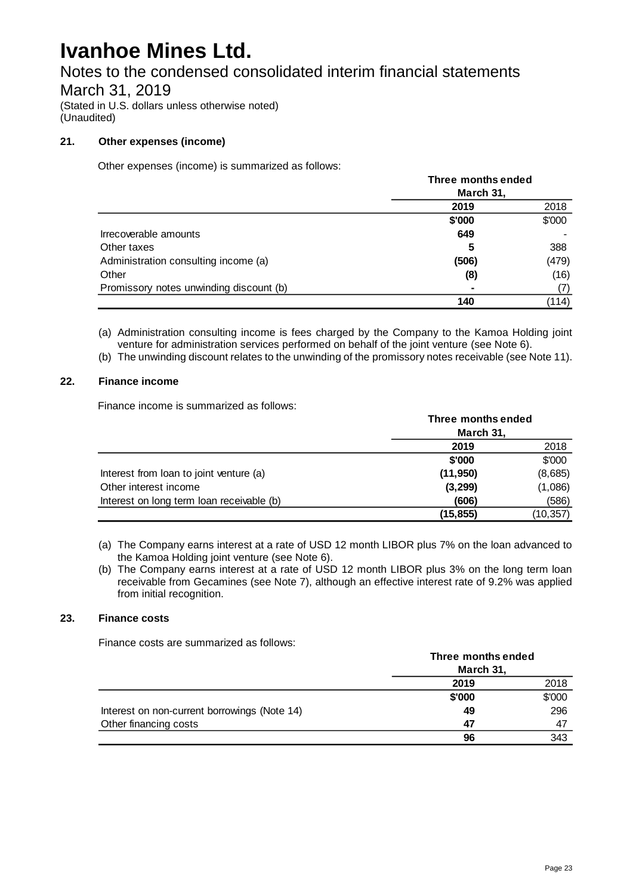### Notes to the condensed consolidated interim financial statements

### March 31, 2019

(Stated in U.S. dollars unless otherwise noted) (Unaudited)

#### **21. Other expenses (income)**

Other expenses (income) is summarized as follows:

|                                         | Three months ended |        |  |
|-----------------------------------------|--------------------|--------|--|
|                                         | March 31,          |        |  |
|                                         | 2019               | 2018   |  |
|                                         | \$'000             | \$'000 |  |
| Irrecoverable amounts                   | 649                |        |  |
| Other taxes                             | 5                  | 388    |  |
| Administration consulting income (a)    | (506)              | (479)  |  |
| Other                                   | (8)                | (16)   |  |
| Promissory notes unwinding discount (b) |                    | (7)    |  |
|                                         | 140                | (114)  |  |

(a) Administration consulting income is fees charged by the Company to the Kamoa Holding joint venture for administration services performed on behalf of the joint venture (see Note 6).

(b) The unwinding discount relates to the unwinding of the promissory notes receivable (see Note 11).

#### **22. Finance income**

Finance income is summarized as follows:

|                                           | Three months ended |          |
|-------------------------------------------|--------------------|----------|
|                                           | March 31,          |          |
|                                           | 2019               | 2018     |
|                                           | \$'000             | \$'000   |
| Interest from loan to joint venture (a)   | (11, 950)          | (8,685)  |
| Other interest income                     | (3,299)            | (1,086)  |
| Interest on long term loan receivable (b) | (606)              | (586)    |
|                                           | (15, 855)          | (10.357) |

(a) The Company earns interest at a rate of USD 12 month LIBOR plus 7% on the loan advanced to the Kamoa Holding joint venture (see Note 6).

(b) The Company earns interest at a rate of USD 12 month LIBOR plus 3% on the long term loan receivable from Gecamines (see Note 7), although an effective interest rate of 9.2% was applied from initial recognition.

#### **23. Finance costs**

Finance costs are summarized as follows:

|                                              | Three months ended<br>March 31, |        |
|----------------------------------------------|---------------------------------|--------|
|                                              |                                 |        |
|                                              | 2019                            | 2018   |
|                                              | \$'000                          | \$'000 |
| Interest on non-current borrowings (Note 14) | 49                              | 296    |
| Other financing costs                        | 47                              | 47     |
|                                              | 96                              | 343    |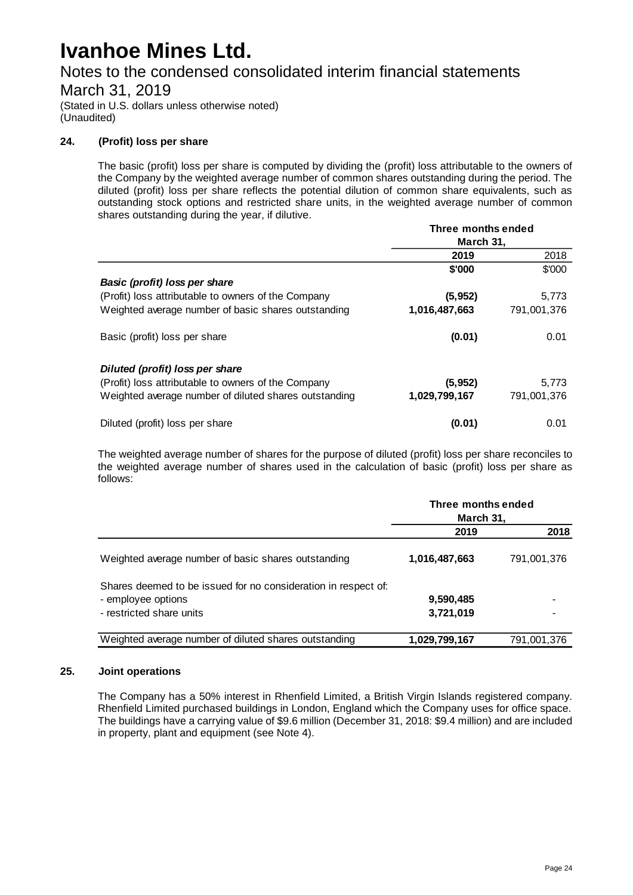Notes to the condensed consolidated interim financial statements

March 31, 2019

(Stated in U.S. dollars unless otherwise noted) (Unaudited)

#### **24. (Profit) loss per share**

The basic (profit) loss per share is computed by dividing the (profit) loss attributable to the owners of the Company by the weighted average number of common shares outstanding during the period. The diluted (profit) loss per share reflects the potential dilution of common share equivalents, such as outstanding stock options and restricted share units, in the weighted average number of common shares outstanding during the year, if dilutive.

|                                                       | Three months ended |             |  |
|-------------------------------------------------------|--------------------|-------------|--|
|                                                       | March 31,          |             |  |
|                                                       | 2019               | 2018        |  |
|                                                       | \$'000             | \$'000      |  |
| Basic (profit) loss per share                         |                    |             |  |
| (Profit) loss attributable to owners of the Company   | (5,952)            | 5,773       |  |
| Weighted average number of basic shares outstanding   | 1,016,487,663      | 791,001,376 |  |
| Basic (profit) loss per share                         | (0.01)             | 0.01        |  |
| Diluted (profit) loss per share                       |                    |             |  |
| (Profit) loss attributable to owners of the Company   | (5,952)            | 5,773       |  |
| Weighted average number of diluted shares outstanding | 1,029,799,167      | 791,001,376 |  |
| Diluted (profit) loss per share                       | (0.01)             | 0.01        |  |

The weighted average number of shares for the purpose of diluted (profit) loss per share reconciles to the weighted average number of shares used in the calculation of basic (profit) loss per share as follows:

|                                                                | Three months ended<br>March 31, |             |
|----------------------------------------------------------------|---------------------------------|-------------|
|                                                                | 2019                            | 2018        |
| Weighted average number of basic shares outstanding            | 1,016,487,663                   | 791,001,376 |
| Shares deemed to be issued for no consideration in respect of: |                                 |             |
| - employee options                                             | 9,590,485                       |             |
| - restricted share units                                       | 3,721,019                       |             |
| Weighted average number of diluted shares outstanding          | 1,029,799,167                   | 791,001,376 |

#### **25. Joint operations**

The Company has a 50% interest in Rhenfield Limited, a British Virgin Islands registered company. Rhenfield Limited purchased buildings in London, England which the Company uses for office space. The buildings have a carrying value of \$9.6 million (December 31, 2018: \$9.4 million) and are included in property, plant and equipment (see Note 4).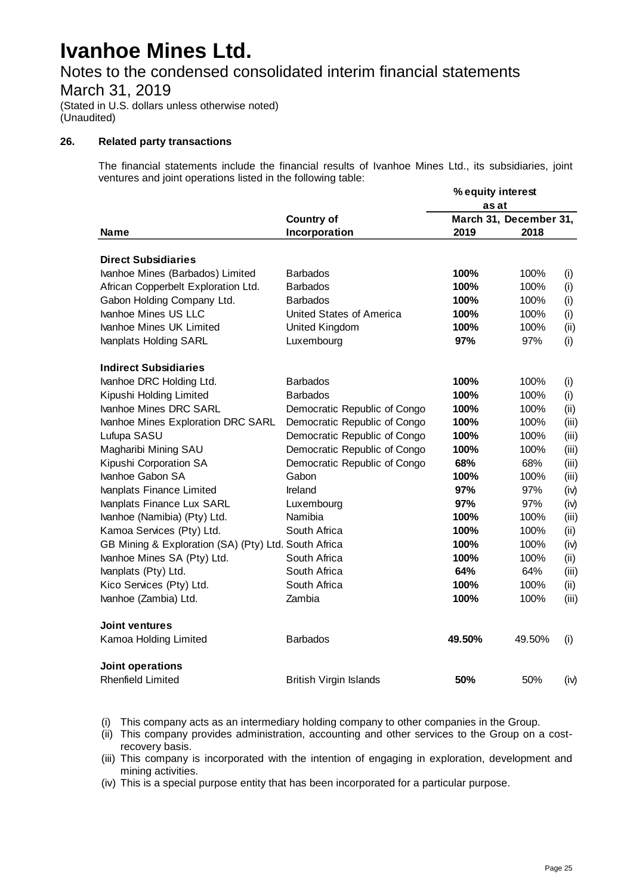Notes to the condensed consolidated interim financial statements

March 31, 2019

(Stated in U.S. dollars unless otherwise noted) (Unaudited)

#### **26. Related party transactions**

The financial statements include the financial results of Ivanhoe Mines Ltd., its subsidiaries, joint ventures and joint operations listed in the following table:

|                                                          |                               | % equity interest |                        |       |
|----------------------------------------------------------|-------------------------------|-------------------|------------------------|-------|
|                                                          |                               | as at             |                        |       |
|                                                          | <b>Country of</b>             |                   | March 31, December 31, |       |
| Name                                                     | Incorporation                 | 2019              | 2018                   |       |
| <b>Direct Subsidiaries</b>                               |                               |                   |                        |       |
| Ivanhoe Mines (Barbados) Limited                         | <b>Barbados</b>               | 100%              | 100%                   | (i)   |
| African Copperbelt Exploration Ltd.                      | <b>Barbados</b>               | 100%              | 100%                   | (i)   |
| Gabon Holding Company Ltd.                               | <b>Barbados</b>               | 100%              | 100%                   | (i)   |
| Ivanhoe Mines US LLC                                     | United States of America      | 100%              | 100%                   | (i)   |
| Ivanhoe Mines UK Limited                                 | United Kingdom                | 100%              | 100%                   | (ii)  |
| Ivanplats Holding SARL                                   | Luxembourg                    | 97%               | 97%                    | (i)   |
|                                                          |                               |                   |                        |       |
| <b>Indirect Subsidiaries</b><br>Ivanhoe DRC Holding Ltd. | <b>Barbados</b>               | 100%              | 100%                   | (i)   |
| Kipushi Holding Limited                                  | <b>Barbados</b>               | 100%              | 100%                   | (i)   |
| Ivanhoe Mines DRC SARL                                   | Democratic Republic of Congo  | 100%              | 100%                   | (ii)  |
| Ivanhoe Mines Exploration DRC SARL                       | Democratic Republic of Congo  | 100%              | 100%                   | (iii) |
| Lufupa SASU                                              | Democratic Republic of Congo  | 100%              | 100%                   | (iii) |
| Magharibi Mining SAU                                     | Democratic Republic of Congo  | 100%              | 100%                   | (iii) |
| Kipushi Corporation SA                                   | Democratic Republic of Congo  | 68%               | 68%                    | (iii) |
| Ivanhoe Gabon SA                                         | Gabon                         | 100%              | 100%                   | (iii) |
| Ivanplats Finance Limited                                | Ireland                       | 97%               | 97%                    | (iv)  |
| Ivanplats Finance Lux SARL                               | Luxembourg                    | 97%               | 97%                    | (iv)  |
| Ivanhoe (Namibia) (Pty) Ltd.                             | Namibia                       | 100%              | 100%                   | (iii) |
| Kamoa Services (Pty) Ltd.                                | South Africa                  | 100%              | 100%                   | (ii)  |
| GB Mining & Exploration (SA) (Pty) Ltd. South Africa     |                               | 100%              | 100%                   | (iv)  |
| Ivanhoe Mines SA (Pty) Ltd.                              | South Africa                  | 100%              | 100%                   | (ii)  |
| Ivanplats (Pty) Ltd.                                     | South Africa                  | 64%               | 64%                    | (iii) |
| Kico Services (Pty) Ltd.                                 | South Africa                  | 100%              | 100%                   | (ii)  |
| Ivanhoe (Zambia) Ltd.                                    | Zambia                        | 100%              | 100%                   | (iii) |
| Joint ventures                                           |                               |                   |                        |       |
| Kamoa Holding Limited                                    | <b>Barbados</b>               | 49.50%            | 49.50%                 | (i)   |
| Joint operations                                         |                               |                   |                        |       |
| <b>Rhenfield Limited</b>                                 | <b>British Virgin Islands</b> | 50%               | 50%                    | (iv)  |

(i) This company acts as an intermediary holding company to other companies in the Group.

- (ii) This company provides administration, accounting and other services to the Group on a costrecovery basis.
- (iii) This company is incorporated with the intention of engaging in exploration, development and mining activities.

(iv) This is a special purpose entity that has been incorporated for a particular purpose.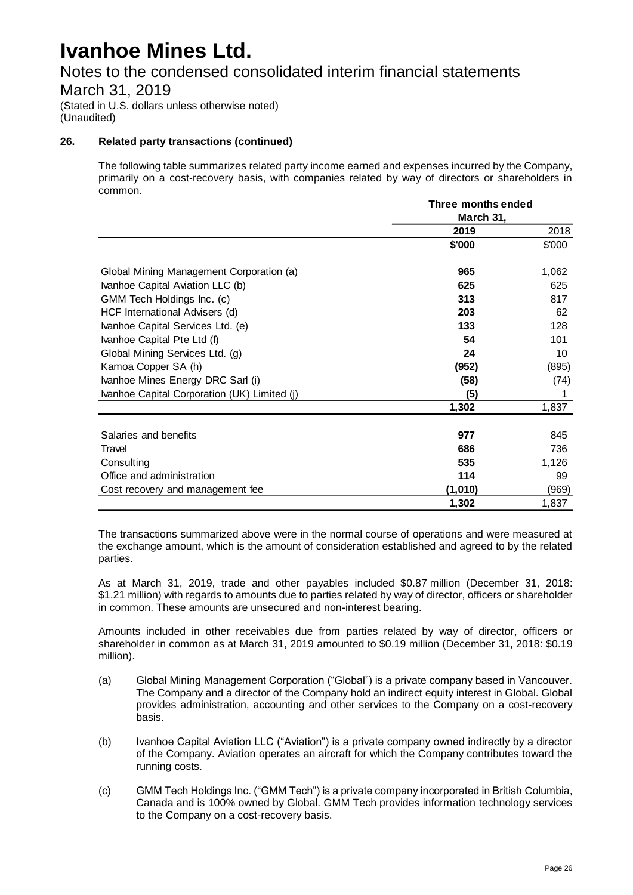## Notes to the condensed consolidated interim financial statements

### March 31, 2019

(Stated in U.S. dollars unless otherwise noted) (Unaudited)

#### **26. Related party transactions (continued)**

The following table summarizes related party income earned and expenses incurred by the Company, primarily on a cost-recovery basis, with companies related by way of directors or shareholders in common.

|                                              | Three months ended |        |  |
|----------------------------------------------|--------------------|--------|--|
|                                              | March 31,          |        |  |
|                                              | 2019               | 2018   |  |
|                                              | \$'000             | \$'000 |  |
| Global Mining Management Corporation (a)     | 965                | 1,062  |  |
| Ivanhoe Capital Aviation LLC (b)             | 625                | 625    |  |
| GMM Tech Holdings Inc. (c)                   | 313                | 817    |  |
| HCF International Advisers (d)               | 203                | 62     |  |
| Ivanhoe Capital Services Ltd. (e)            | 133                | 128    |  |
| Ivanhoe Capital Pte Ltd (f)                  | 54                 | 101    |  |
| Global Mining Services Ltd. (g)              | 24                 | 10     |  |
| Kamoa Copper SA (h)                          | (952)              | (895)  |  |
| Ivanhoe Mines Energy DRC Sarl (i)            | (58)               | (74)   |  |
| Ivanhoe Capital Corporation (UK) Limited (j) | (5)                |        |  |
|                                              | 1,302              | 1,837  |  |
| Salaries and benefits                        | 977                | 845    |  |
| Travel                                       | 686                | 736    |  |
| Consulting                                   | 535                | 1,126  |  |
| Office and administration                    | 114                | 99     |  |
| Cost recovery and management fee             | (1,010)            | (969)  |  |
|                                              | 1,302              | 1,837  |  |

The transactions summarized above were in the normal course of operations and were measured at the exchange amount, which is the amount of consideration established and agreed to by the related parties.

As at March 31, 2019, trade and other payables included \$0.87 million (December 31, 2018: \$1.21 million) with regards to amounts due to parties related by way of director, officers or shareholder in common. These amounts are unsecured and non-interest bearing.

Amounts included in other receivables due from parties related by way of director, officers or shareholder in common as at March 31, 2019 amounted to \$0.19 million (December 31, 2018: \$0.19 million).

- (a) Global Mining Management Corporation ("Global") is a private company based in Vancouver. The Company and a director of the Company hold an indirect equity interest in Global. Global provides administration, accounting and other services to the Company on a cost-recovery basis.
- (b) Ivanhoe Capital Aviation LLC ("Aviation") is a private company owned indirectly by a director of the Company. Aviation operates an aircraft for which the Company contributes toward the running costs.
- (c) GMM Tech Holdings Inc. ("GMM Tech") is a private company incorporated in British Columbia, Canada and is 100% owned by Global. GMM Tech provides information technology services to the Company on a cost-recovery basis.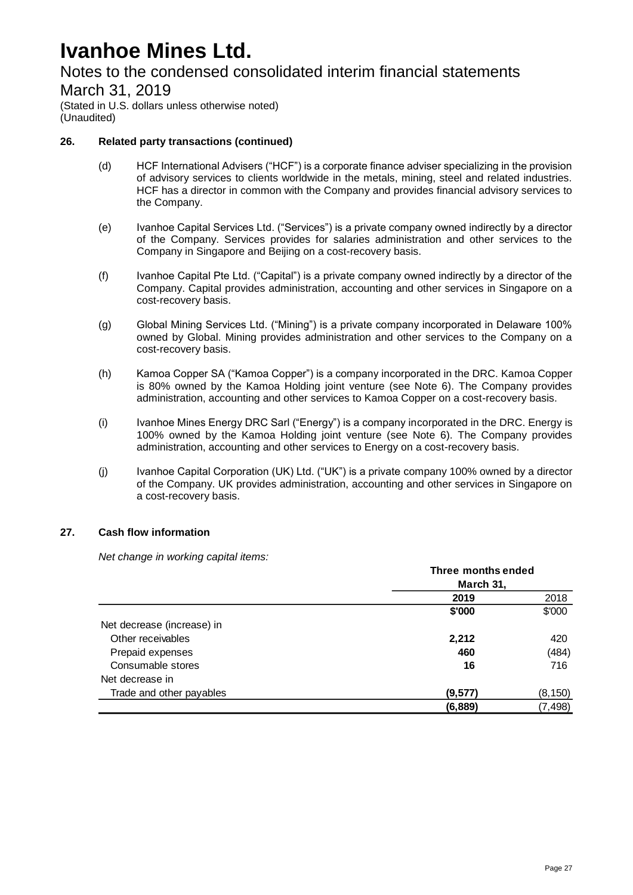### Notes to the condensed consolidated interim financial statements

March 31, 2019

(Stated in U.S. dollars unless otherwise noted) (Unaudited)

#### **26. Related party transactions (continued)**

- (d) HCF International Advisers ("HCF") is a corporate finance adviser specializing in the provision of advisory services to clients worldwide in the metals, mining, steel and related industries. HCF has a director in common with the Company and provides financial advisory services to the Company.
- (e) Ivanhoe Capital Services Ltd. ("Services") is a private company owned indirectly by a director of the Company. Services provides for salaries administration and other services to the Company in Singapore and Beijing on a cost-recovery basis.
- (f) Ivanhoe Capital Pte Ltd. ("Capital") is a private company owned indirectly by a director of the Company. Capital provides administration, accounting and other services in Singapore on a cost-recovery basis.
- (g) Global Mining Services Ltd. ("Mining") is a private company incorporated in Delaware 100% owned by Global. Mining provides administration and other services to the Company on a cost-recovery basis.
- (h) Kamoa Copper SA ("Kamoa Copper") is a company incorporated in the DRC. Kamoa Copper is 80% owned by the Kamoa Holding joint venture (see Note 6). The Company provides administration, accounting and other services to Kamoa Copper on a cost-recovery basis.
- (i) Ivanhoe Mines Energy DRC Sarl ("Energy") is a company incorporated in the DRC. Energy is 100% owned by the Kamoa Holding joint venture (see Note 6). The Company provides administration, accounting and other services to Energy on a cost-recovery basis.
- (j) Ivanhoe Capital Corporation (UK) Ltd. ("UK") is a private company 100% owned by a director of the Company. UK provides administration, accounting and other services in Singapore on a cost-recovery basis.

#### **27. Cash flow information**

*Net change in working capital items:*

|                            | Three months ended |          |  |
|----------------------------|--------------------|----------|--|
|                            | March 31,          |          |  |
|                            | 2019               | 2018     |  |
|                            | \$'000             | \$'000   |  |
| Net decrease (increase) in |                    |          |  |
| Other receivables          | 2,212              | 420      |  |
| Prepaid expenses           | 460                | (484)    |  |
| Consumable stores          | 16                 | 716      |  |
| Net decrease in            |                    |          |  |
| Trade and other payables   | (9,577)            | (8, 150) |  |
|                            | (6, 889)           | (7, 498) |  |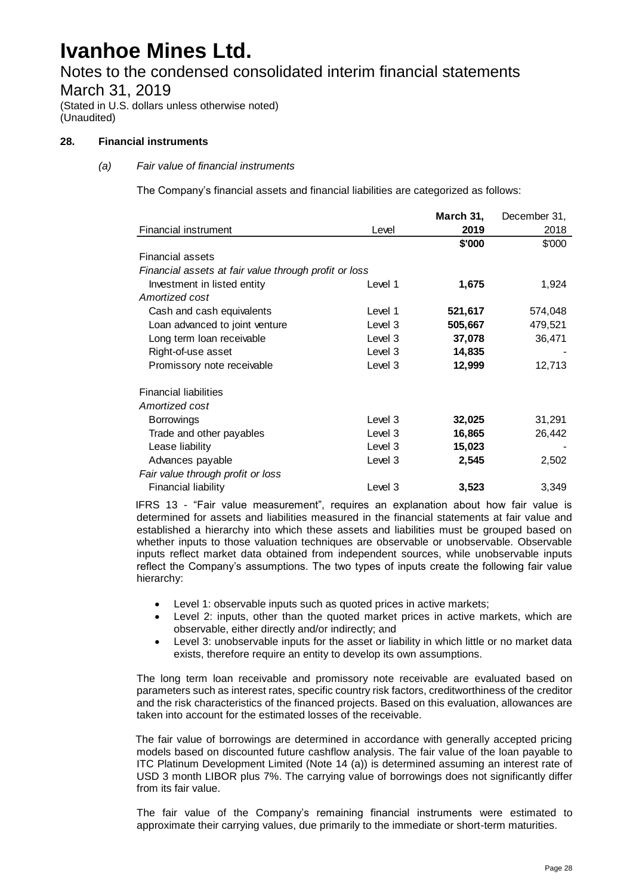Notes to the condensed consolidated interim financial statements March 31, 2019

(Stated in U.S. dollars unless otherwise noted) (Unaudited)

#### **28. Financial instruments**

#### *(a) Fair value of financial instruments*

The Company's financial assets and financial liabilities are categorized as follows:

|                                                       |         | March 31, | December 31, |
|-------------------------------------------------------|---------|-----------|--------------|
| <b>Financial instrument</b>                           | Level   | 2019      | 2018         |
|                                                       |         | \$'000    | \$000        |
| Financial assets                                      |         |           |              |
| Financial assets at fair value through profit or loss |         |           |              |
| Investment in listed entity                           | Level 1 | 1,675     | 1,924        |
| Amortized cost                                        |         |           |              |
| Cash and cash equivalents                             | Level 1 | 521,617   | 574,048      |
| Loan advanced to joint venture                        | Level 3 | 505,667   | 479,521      |
| Long term loan receivable                             | Level 3 | 37,078    | 36,471       |
| Right-of-use asset                                    | Level 3 | 14,835    |              |
| Promissory note receivable                            | Level 3 | 12,999    | 12,713       |
| <b>Financial liabilities</b>                          |         |           |              |
| Amortized cost                                        |         |           |              |
| <b>Borrowings</b>                                     | Level 3 | 32,025    | 31,291       |
| Trade and other payables                              | Level 3 | 16,865    | 26,442       |
| Lease liability                                       | Level 3 | 15,023    |              |
| Advances payable                                      | Level 3 | 2,545     | 2,502        |
| Fair value through profit or loss                     |         |           |              |
| Financial liability                                   | Level 3 | 3,523     | 3,349        |

IFRS 13 - "Fair value measurement", requires an explanation about how fair value is determined for assets and liabilities measured in the financial statements at fair value and established a hierarchy into which these assets and liabilities must be grouped based on whether inputs to those valuation techniques are observable or unobservable. Observable inputs reflect market data obtained from independent sources, while unobservable inputs reflect the Company's assumptions. The two types of inputs create the following fair value hierarchy:

- Level 1: observable inputs such as quoted prices in active markets;
- Level 2: inputs, other than the quoted market prices in active markets, which are observable, either directly and/or indirectly; and
- Level 3: unobservable inputs for the asset or liability in which little or no market data exists, therefore require an entity to develop its own assumptions.

The long term loan receivable and promissory note receivable are evaluated based on parameters such as interest rates, specific country risk factors, creditworthiness of the creditor and the risk characteristics of the financed projects. Based on this evaluation, allowances are taken into account for the estimated losses of the receivable.

The fair value of borrowings are determined in accordance with generally accepted pricing models based on discounted future cashflow analysis. The fair value of the loan payable to ITC Platinum Development Limited (Note 14 (a)) is determined assuming an interest rate of USD 3 month LIBOR plus 7%. The carrying value of borrowings does not significantly differ from its fair value.

The fair value of the Company's remaining financial instruments were estimated to approximate their carrying values, due primarily to the immediate or short-term maturities.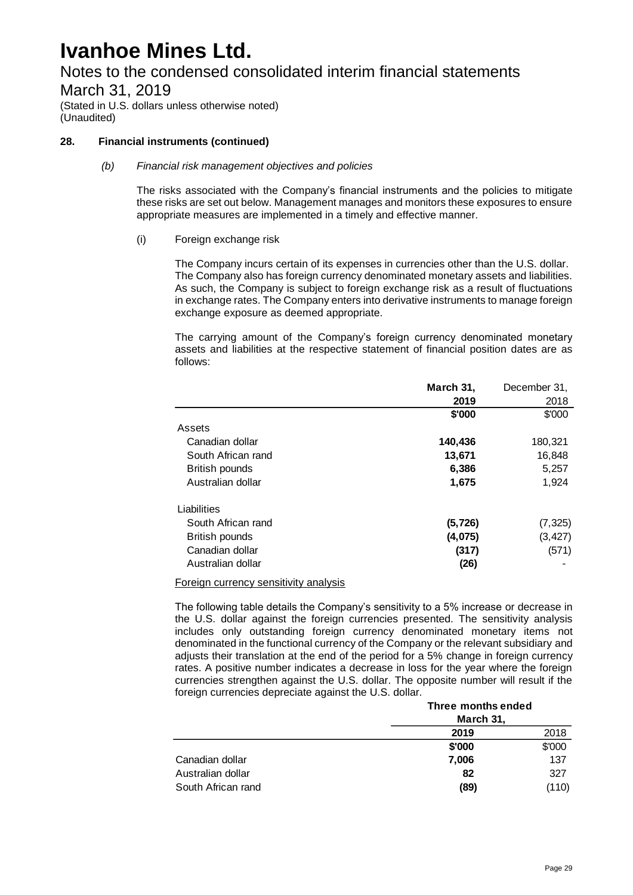Notes to the condensed consolidated interim financial statements

March 31, 2019

(Stated in U.S. dollars unless otherwise noted) (Unaudited)

#### **28. Financial instruments (continued)**

#### *(b) Financial risk management objectives and policies*

The risks associated with the Company's financial instruments and the policies to mitigate these risks are set out below. Management manages and monitors these exposures to ensure appropriate measures are implemented in a timely and effective manner.

#### (i) Foreign exchange risk

The Company incurs certain of its expenses in currencies other than the U.S. dollar. The Company also has foreign currency denominated monetary assets and liabilities. As such, the Company is subject to foreign exchange risk as a result of fluctuations in exchange rates. The Company enters into derivative instruments to manage foreign exchange exposure as deemed appropriate.

The carrying amount of the Company's foreign currency denominated monetary assets and liabilities at the respective statement of financial position dates are as follows:

|                       | March 31, | December 31, |
|-----------------------|-----------|--------------|
|                       | 2019      | 2018         |
|                       | \$'000    | \$'000       |
| Assets                |           |              |
| Canadian dollar       | 140,436   | 180,321      |
| South African rand    | 13,671    | 16,848       |
| <b>British pounds</b> | 6,386     | 5,257        |
| Australian dollar     | 1,675     | 1,924        |
| Liabilities           |           |              |
| South African rand    | (5, 726)  | (7, 325)     |
| <b>British pounds</b> | (4,075)   | (3, 427)     |
| Canadian dollar       | (317)     | (571)        |
| Australian dollar     | (26)      |              |

Foreign currency sensitivity analysis

The following table details the Company's sensitivity to a 5% increase or decrease in the U.S. dollar against the foreign currencies presented. The sensitivity analysis includes only outstanding foreign currency denominated monetary items not denominated in the functional currency of the Company or the relevant subsidiary and adjusts their translation at the end of the period for a 5% change in foreign currency rates. A positive number indicates a decrease in loss for the year where the foreign currencies strengthen against the U.S. dollar. The opposite number will result if the foreign currencies depreciate against the U.S. dollar*.*

|                    | Three months ended |        |  |
|--------------------|--------------------|--------|--|
|                    | March 31,          |        |  |
|                    | 2019               | 2018   |  |
|                    | \$'000             | \$'000 |  |
| Canadian dollar    | 7,006              | 137    |  |
| Australian dollar  | 82                 | 327    |  |
| South African rand | (89)               | (110)  |  |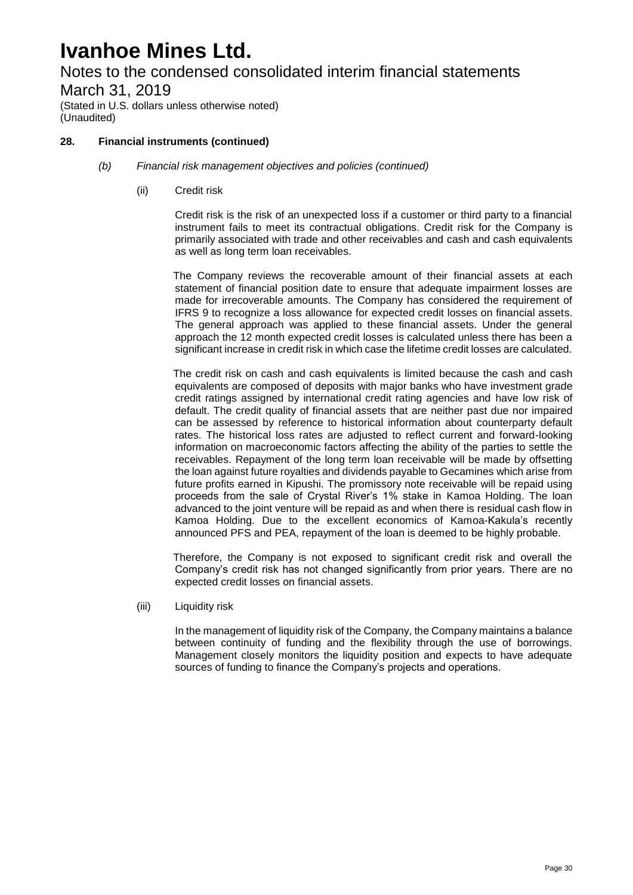Notes to the condensed consolidated interim financial statements March 31, 2019

(Stated in U.S. dollars unless otherwise noted) (Unaudited)

#### **28. Financial instruments (continued)**

- *(b) Financial risk management objectives and policies (continued)*
	- (ii) Credit risk

Credit risk is the risk of an unexpected loss if a customer or third party to a financial instrument fails to meet its contractual obligations. Credit risk for the Company is primarily associated with trade and other receivables and cash and cash equivalents as well as long term loan receivables.

The Company reviews the recoverable amount of their financial assets at each statement of financial position date to ensure that adequate impairment losses are made for irrecoverable amounts. The Company has considered the requirement of IFRS 9 to recognize a loss allowance for expected credit losses on financial assets. The general approach was applied to these financial assets. Under the general approach the 12 month expected credit losses is calculated unless there has been a significant increase in credit risk in which case the lifetime credit losses are calculated.

The credit risk on cash and cash equivalents is limited because the cash and cash equivalents are composed of deposits with major banks who have investment grade credit ratings assigned by international credit rating agencies and have low risk of default. The credit quality of financial assets that are neither past due nor impaired can be assessed by reference to historical information about counterparty default rates. The historical loss rates are adjusted to reflect current and forward-looking information on macroeconomic factors affecting the ability of the parties to settle the receivables. Repayment of the long term loan receivable will be made by offsetting the loan against future royalties and dividends payable to Gecamines which arise from future profits earned in Kipushi. The promissory note receivable will be repaid using proceeds from the sale of Crystal River's 1% stake in Kamoa Holding. The loan advanced to the joint venture will be repaid as and when there is residual cash flow in Kamoa Holding. Due to the excellent economics of Kamoa-Kakula's recently announced PFS and PEA, repayment of the loan is deemed to be highly probable.

Therefore, the Company is not exposed to significant credit risk and overall the Company's credit risk has not changed significantly from prior years. There are no expected credit losses on financial assets.

(iii) Liquidity risk

In the management of liquidity risk of the Company, the Company maintains a balance between continuity of funding and the flexibility through the use of borrowings. Management closely monitors the liquidity position and expects to have adequate sources of funding to finance the Company's projects and operations.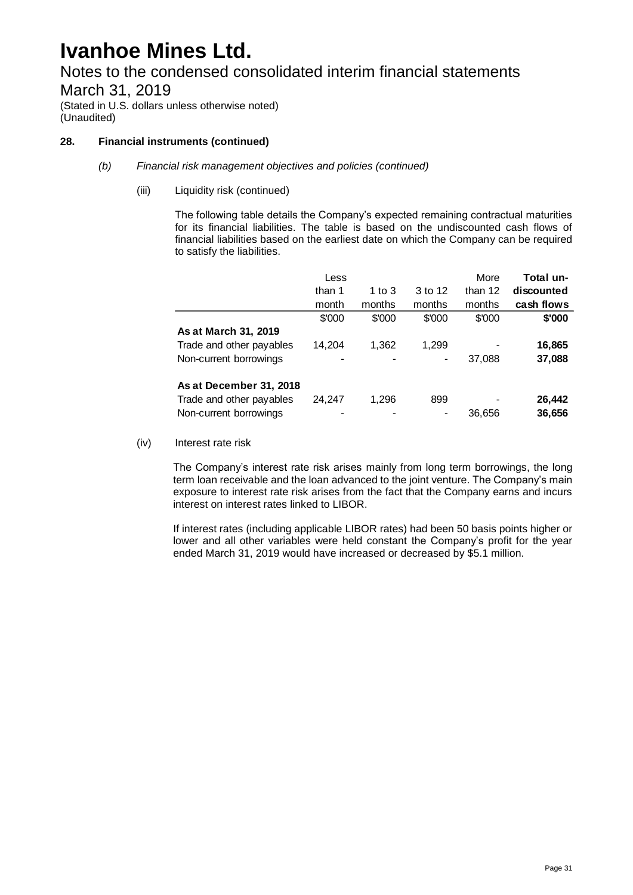Notes to the condensed consolidated interim financial statements March 31, 2019

(Stated in U.S. dollars unless otherwise noted) (Unaudited)

#### **28. Financial instruments (continued)**

#### *(b) Financial risk management objectives and policies (continued)*

(iii) Liquidity risk (continued)

The following table details the Company's expected remaining contractual maturities for its financial liabilities. The table is based on the undiscounted cash flows of financial liabilities based on the earliest date on which the Company can be required to satisfy the liabilities.

|                          | Less   |          |         | More    | Total un-  |
|--------------------------|--------|----------|---------|---------|------------|
|                          | than 1 | 1 to $3$ | 3 to 12 | than 12 | discounted |
|                          | month  | months   | months  | months  | cash flows |
|                          | \$'000 | \$'000   | \$'000  | \$'000  | \$'000     |
| As at March 31, 2019     |        |          |         |         |            |
| Trade and other payables | 14,204 | 1,362    | 1,299   |         | 16,865     |
| Non-current borrowings   |        |          |         | 37,088  | 37,088     |
| As at December 31, 2018  |        |          |         |         |            |
| Trade and other payables | 24,247 | 1,296    | 899     |         | 26,442     |
| Non-current borrowings   |        |          |         | 36,656  | 36,656     |

(iv) Interest rate risk

The Company's interest rate risk arises mainly from long term borrowings, the long term loan receivable and the loan advanced to the joint venture. The Company's main exposure to interest rate risk arises from the fact that the Company earns and incurs interest on interest rates linked to LIBOR.

If interest rates (including applicable LIBOR rates) had been 50 basis points higher or lower and all other variables were held constant the Company's profit for the year ended March 31, 2019 would have increased or decreased by \$5.1 million.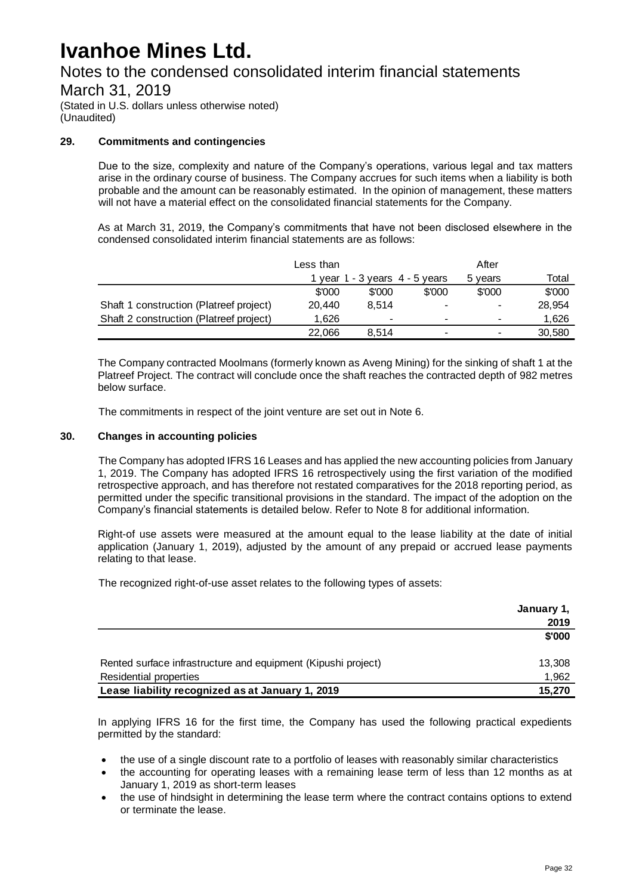Notes to the condensed consolidated interim financial statements

March 31, 2019

(Stated in U.S. dollars unless otherwise noted) (Unaudited)

#### **29. Commitments and contingencies**

Due to the size, complexity and nature of the Company's operations, various legal and tax matters arise in the ordinary course of business. The Company accrues for such items when a liability is both probable and the amount can be reasonably estimated. In the opinion of management, these matters will not have a material effect on the consolidated financial statements for the Company.

As at March 31, 2019, the Company's commitments that have not been disclosed elsewhere in the condensed consolidated interim financial statements are as follows:

|                                         | Less than |                |                                    | After   |        |
|-----------------------------------------|-----------|----------------|------------------------------------|---------|--------|
|                                         |           |                | 1 year $1 - 3$ years $4 - 5$ years | 5 years | Total  |
|                                         | \$'000    | \$'000         | \$'000                             | \$'000  | \$'000 |
| Shaft 1 construction (Platreef project) | 20.440    | 8.514          | ۰                                  | ۰       | 28,954 |
| Shaft 2 construction (Platreef project) | 1.626     | $\blacksquare$ |                                    | -       | 1.626  |
|                                         | 22,066    | 8.514          | -                                  | -       | 30,580 |

The Company contracted Moolmans (formerly known as Aveng Mining) for the sinking of shaft 1 at the Platreef Project. The contract will conclude once the shaft reaches the contracted depth of 982 metres below surface.

The commitments in respect of the joint venture are set out in Note 6.

#### **30. Changes in accounting policies**

The Company has adopted IFRS 16 Leases and has applied the new accounting policies from January 1, 2019. The Company has adopted IFRS 16 retrospectively using the first variation of the modified retrospective approach, and has therefore not restated comparatives for the 2018 reporting period, as permitted under the specific transitional provisions in the standard. The impact of the adoption on the Company's financial statements is detailed below. Refer to Note 8 for additional information.

Right-of use assets were measured at the amount equal to the lease liability at the date of initial application (January 1, 2019), adjusted by the amount of any prepaid or accrued lease payments relating to that lease.

The recognized right-of-use asset relates to the following types of assets:

|                                                               | January 1, |
|---------------------------------------------------------------|------------|
|                                                               | 2019       |
|                                                               | \$'000     |
| Rented surface infrastructure and equipment (Kipushi project) | 13,308     |
| Residential properties                                        | 1,962      |
| Lease liability recognized as at January 1, 2019              | 15,270     |

In applying IFRS 16 for the first time, the Company has used the following practical expedients permitted by the standard:

- the use of a single discount rate to a portfolio of leases with reasonably similar characteristics
- the accounting for operating leases with a remaining lease term of less than 12 months as at January 1, 2019 as short-term leases
- the use of hindsight in determining the lease term where the contract contains options to extend or terminate the lease.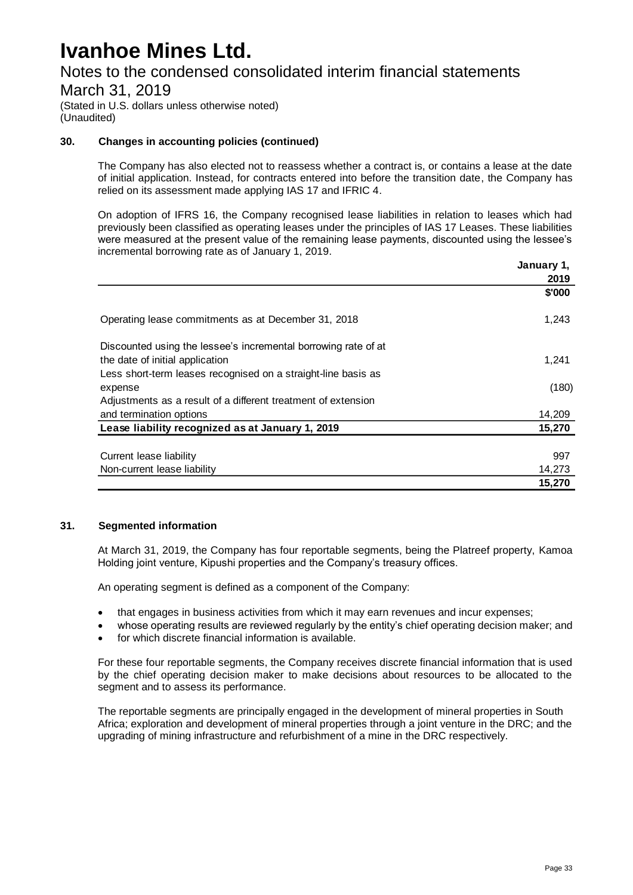Notes to the condensed consolidated interim financial statements

March 31, 2019

(Stated in U.S. dollars unless otherwise noted) (Unaudited)

#### **30. Changes in accounting policies (continued)**

The Company has also elected not to reassess whether a contract is, or contains a lease at the date of initial application. Instead, for contracts entered into before the transition date, the Company has relied on its assessment made applying IAS 17 and IFRIC 4.

On adoption of IFRS 16, the Company recognised lease liabilities in relation to leases which had previously been classified as operating leases under the principles of IAS 17 Leases. These liabilities were measured at the present value of the remaining lease payments, discounted using the lessee's incremental borrowing rate as of January 1, 2019.

|                                                                | January 1, |
|----------------------------------------------------------------|------------|
|                                                                | 2019       |
|                                                                | \$'000     |
| Operating lease commitments as at December 31, 2018            | 1,243      |
| Discounted using the lessee's incremental borrowing rate of at |            |
| the date of initial application                                | 1,241      |
| Less short-term leases recognised on a straight-line basis as  |            |
| expense                                                        | (180)      |
| Adjustments as a result of a different treatment of extension  |            |
| and termination options                                        | 14,209     |
| Lease liability recognized as at January 1, 2019               | 15,270     |
|                                                                |            |
| Current lease liability                                        | 997        |
| Non-current lease liability                                    | 14,273     |
|                                                                | 15,270     |

#### **31. Segmented information**

At March 31, 2019, the Company has four reportable segments, being the Platreef property, Kamoa Holding joint venture, Kipushi properties and the Company's treasury offices.

An operating segment is defined as a component of the Company:

- that engages in business activities from which it may earn revenues and incur expenses;
- whose operating results are reviewed regularly by the entity's chief operating decision maker; and
- for which discrete financial information is available.

For these four reportable segments, the Company receives discrete financial information that is used by the chief operating decision maker to make decisions about resources to be allocated to the segment and to assess its performance.

The reportable segments are principally engaged in the development of mineral properties in South Africa; exploration and development of mineral properties through a joint venture in the DRC; and the upgrading of mining infrastructure and refurbishment of a mine in the DRC respectively.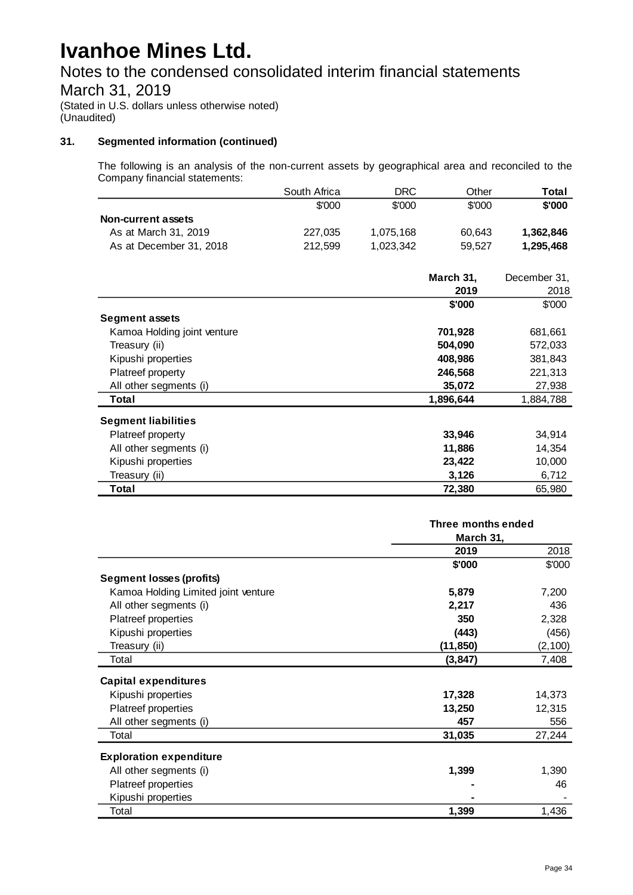Notes to the condensed consolidated interim financial statements

### March 31, 2019

(Stated in U.S. dollars unless otherwise noted) (Unaudited)

#### **31. Segmented information (continued)**

The following is an analysis of the non-current assets by geographical area and reconciled to the Company financial statements:

|                         | South Africa | DRC.      | Other  | Total     |
|-------------------------|--------------|-----------|--------|-----------|
|                         | \$'000       | \$'000    | \$'000 | \$'000    |
| Non-current assets      |              |           |        |           |
| As at March 31, 2019    | 227.035      | 1.075.168 | 60.643 | 1,362,846 |
| As at December 31, 2018 | 212.599      | 1.023.342 | 59.527 | 1,295,468 |

|                             | March 31, | December 31, |
|-----------------------------|-----------|--------------|
|                             | 2019      | 2018         |
|                             | \$'000    | \$'000       |
| <b>Segment assets</b>       |           |              |
| Kamoa Holding joint venture | 701,928   | 681,661      |
| Treasury (ii)               | 504,090   | 572,033      |
| Kipushi properties          | 408,986   | 381,843      |
| Platreef property           | 246,568   | 221,313      |
| All other segments (i)      | 35,072    | 27,938       |
| Total                       | 1,896,644 | 1,884,788    |
| <b>Segment liabilities</b>  |           |              |
| Platreef property           | 33,946    | 34,914       |
| All other segments (i)      | 11,886    | 14,354       |
| Kipushi properties          | 23,422    | 10,000       |
| Treasury (ii)               | 3,126     | 6,712        |
| Total                       | 72,380    | 65,980       |

|                                     | Three months ended<br>March 31, |          |
|-------------------------------------|---------------------------------|----------|
|                                     |                                 |          |
|                                     | 2019                            | 2018     |
|                                     | \$'000                          | \$'000   |
| <b>Segment losses (profits)</b>     |                                 |          |
| Kamoa Holding Limited joint venture | 5,879                           | 7,200    |
| All other segments (i)              | 2,217                           | 436      |
| Platreef properties                 | 350                             | 2,328    |
| Kipushi properties                  | (443)                           | (456)    |
| Treasury (ii)                       | (11, 850)                       | (2, 100) |
| Total                               | (3, 847)                        | 7,408    |
| <b>Capital expenditures</b>         |                                 |          |
| Kipushi properties                  | 17,328                          | 14,373   |
| Platreef properties                 | 13,250                          | 12,315   |
| All other segments (i)              | 457                             | 556      |
| Total                               | 31,035                          | 27,244   |
| <b>Exploration expenditure</b>      |                                 |          |
| All other segments (i)              | 1,399                           | 1,390    |
| Platreef properties                 |                                 | 46       |
| Kipushi properties                  |                                 |          |
| Total                               | 1,399                           | 1,436    |